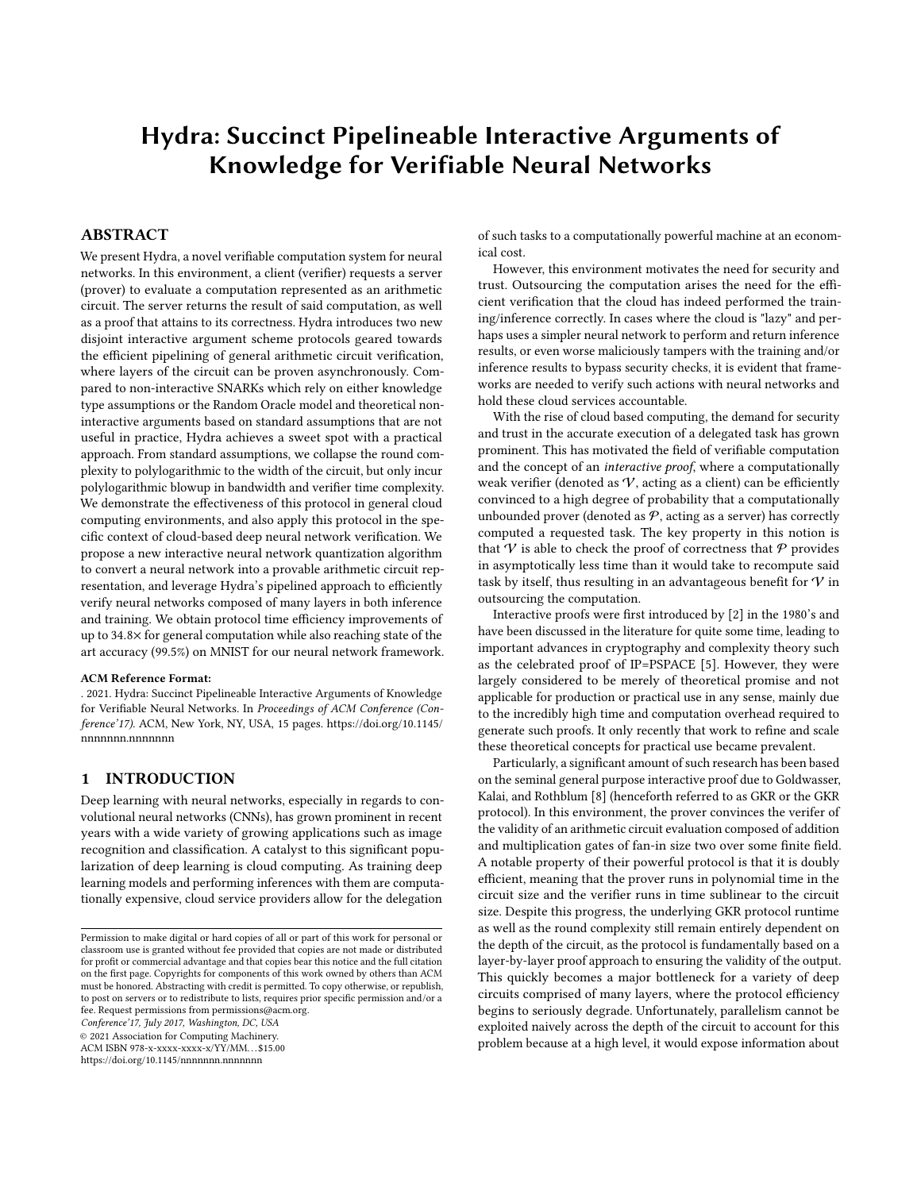# <span id="page-0-0"></span>Hydra: Succinct Pipelineable Interactive Arguments of Knowledge for Verifiable Neural Networks

# ABSTRACT

We present Hydra, a novel verifiable computation system for neural networks. In this environment, a client (verifier) requests a server (prover) to evaluate a computation represented as an arithmetic circuit. The server returns the result of said computation, as well as a proof that attains to its correctness. Hydra introduces two new disjoint interactive argument scheme protocols geared towards the efficient pipelining of general arithmetic circuit verification, where layers of the circuit can be proven asynchronously. Compared to non-interactive SNARKs which rely on either knowledge type assumptions or the Random Oracle model and theoretical noninteractive arguments based on standard assumptions that are not useful in practice, Hydra achieves a sweet spot with a practical approach. From standard assumptions, we collapse the round complexity to polylogarithmic to the width of the circuit, but only incur polylogarithmic blowup in bandwidth and verifier time complexity. We demonstrate the effectiveness of this protocol in general cloud computing environments, and also apply this protocol in the specific context of cloud-based deep neural network verification. We propose a new interactive neural network quantization algorithm to convert a neural network into a provable arithmetic circuit representation, and leverage Hydra's pipelined approach to efficiently verify neural networks composed of many layers in both inference and training. We obtain protocol time efficiency improvements of up to 34.8× for general computation while also reaching state of the art accuracy (99.5%) on MNIST for our neural network framework.

#### ACM Reference Format:

. 2021. Hydra: Succinct Pipelineable Interactive Arguments of Knowledge for Verifiable Neural Networks. In Proceedings of ACM Conference (Conference'17). ACM, New York, NY, USA, [15](#page-14-0) pages. [https://doi.org/10.1145/](https://doi.org/10.1145/nnnnnnn.nnnnnnn) [nnnnnnn.nnnnnnn](https://doi.org/10.1145/nnnnnnn.nnnnnnn)

# 1 INTRODUCTION

Deep learning with neural networks, especially in regards to convolutional neural networks (CNNs), has grown prominent in recent years with a wide variety of growing applications such as image recognition and classification. A catalyst to this significant popularization of deep learning is cloud computing. As training deep learning models and performing inferences with them are computationally expensive, cloud service providers allow for the delegation

Conference'17, July 2017, Washington, DC, USA

© 2021 Association for Computing Machinery.

ACM ISBN 978-x-xxxx-xxxx-x/YY/MM. . . \$15.00

<https://doi.org/10.1145/nnnnnnn.nnnnnnn>

of such tasks to a computationally powerful machine at an economical cost.

However, this environment motivates the need for security and trust. Outsourcing the computation arises the need for the efficient verification that the cloud has indeed performed the training/inference correctly. In cases where the cloud is "lazy" and perhaps uses a simpler neural network to perform and return inference results, or even worse maliciously tampers with the training and/or inference results to bypass security checks, it is evident that frameworks are needed to verify such actions with neural networks and hold these cloud services accountable.

With the rise of cloud based computing, the demand for security and trust in the accurate execution of a delegated task has grown prominent. This has motivated the field of verifiable computation and the concept of an interactive proof, where a computationally weak verifier (denoted as  $V$ , acting as a client) can be efficiently convinced to a high degree of probability that a computationally unbounded prover (denoted as  $P$ , acting as a server) has correctly computed a requested task. The key property in this notion is that  $V$  is able to check the proof of correctness that  $P$  provides in asymptotically less time than it would take to recompute said task by itself, thus resulting in an advantageous benefit for  $V$  in outsourcing the computation.

Interactive proofs were first introduced by [\[2\]](#page-12-0) in the 1980's and have been discussed in the literature for quite some time, leading to important advances in cryptography and complexity theory such as the celebrated proof of IP=PSPACE [\[5\]](#page-12-1). However, they were largely considered to be merely of theoretical promise and not applicable for production or practical use in any sense, mainly due to the incredibly high time and computation overhead required to generate such proofs. It only recently that work to refine and scale these theoretical concepts for practical use became prevalent.

Particularly, a significant amount of such research has been based on the seminal general purpose interactive proof due to Goldwasser, Kalai, and Rothblum [\[8\]](#page-12-2) (henceforth referred to as GKR or the GKR protocol). In this environment, the prover convinces the verifer of the validity of an arithmetic circuit evaluation composed of addition and multiplication gates of fan-in size two over some finite field. A notable property of their powerful protocol is that it is doubly efficient, meaning that the prover runs in polynomial time in the circuit size and the verifier runs in time sublinear to the circuit size. Despite this progress, the underlying GKR protocol runtime as well as the round complexity still remain entirely dependent on the depth of the circuit, as the protocol is fundamentally based on a layer-by-layer proof approach to ensuring the validity of the output. This quickly becomes a major bottleneck for a variety of deep circuits comprised of many layers, where the protocol efficiency begins to seriously degrade. Unfortunately, parallelism cannot be exploited naively across the depth of the circuit to account for this problem because at a high level, it would expose information about

Permission to make digital or hard copies of all or part of this work for personal or classroom use is granted without fee provided that copies are not made or distributed for profit or commercial advantage and that copies bear this notice and the full citation on the first page. Copyrights for components of this work owned by others than ACM must be honored. Abstracting with credit is permitted. To copy otherwise, or republish, to post on servers or to redistribute to lists, requires prior specific permission and/or a fee. Request permissions from permissions@acm.org.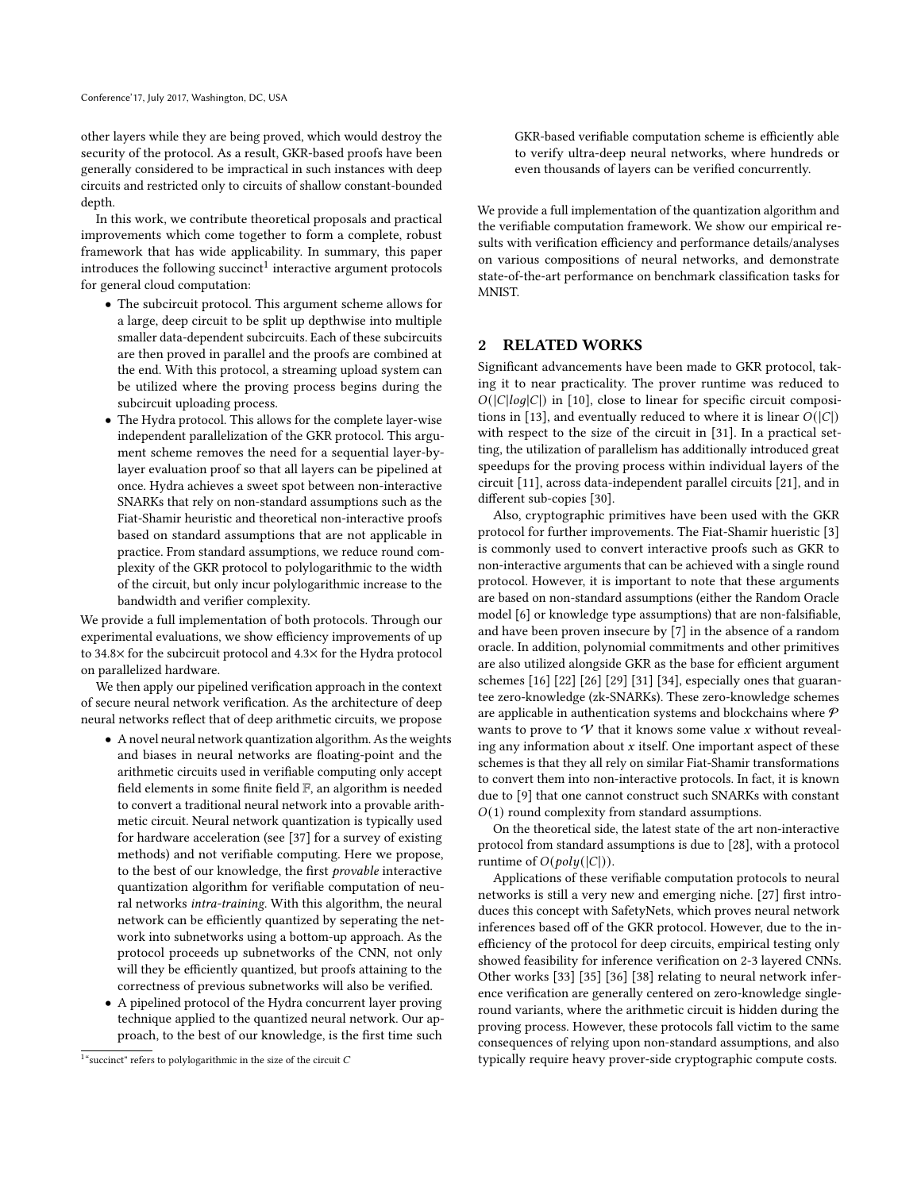other layers while they are being proved, which would destroy the security of the protocol. As a result, GKR-based proofs have been generally considered to be impractical in such instances with deep circuits and restricted only to circuits of shallow constant-bounded depth.

In this work, we contribute theoretical proposals and practical improvements which come together to form a complete, robust framework that has wide applicability. In summary, this paper introduces the following succinct $^1$  $^1$  interactive argument protocols for general cloud computation:

- The subcircuit protocol. This argument scheme allows for a large, deep circuit to be split up depthwise into multiple smaller data-dependent subcircuits. Each of these subcircuits are then proved in parallel and the proofs are combined at the end. With this protocol, a streaming upload system can be utilized where the proving process begins during the subcircuit uploading process.
- The Hydra protocol. This allows for the complete layer-wise independent parallelization of the GKR protocol. This argument scheme removes the need for a sequential layer-bylayer evaluation proof so that all layers can be pipelined at once. Hydra achieves a sweet spot between non-interactive SNARKs that rely on non-standard assumptions such as the Fiat-Shamir heuristic and theoretical non-interactive proofs based on standard assumptions that are not applicable in practice. From standard assumptions, we reduce round complexity of the GKR protocol to polylogarithmic to the width of the circuit, but only incur polylogarithmic increase to the bandwidth and verifier complexity.

We provide a full implementation of both protocols. Through our experimental evaluations, we show efficiency improvements of up to 34.8× for the subcircuit protocol and 4.3× for the Hydra protocol on parallelized hardware.

We then apply our pipelined verification approach in the context of secure neural network verification. As the architecture of deep neural networks reflect that of deep arithmetic circuits, we propose

- A novel neural network quantization algorithm. As the weights and biases in neural networks are floating-point and the arithmetic circuits used in verifiable computing only accept field elements in some finite field F, an algorithm is needed to convert a traditional neural network into a provable arithmetic circuit. Neural network quantization is typically used for hardware acceleration (see [\[37\]](#page-12-3) for a survey of existing methods) and not verifiable computing. Here we propose, to the best of our knowledge, the first provable interactive quantization algorithm for verifiable computation of neural networks intra-training. With this algorithm, the neural network can be efficiently quantized by seperating the network into subnetworks using a bottom-up approach. As the protocol proceeds up subnetworks of the CNN, not only will they be efficiently quantized, but proofs attaining to the correctness of previous subnetworks will also be verified.
- A pipelined protocol of the Hydra concurrent layer proving technique applied to the quantized neural network. Our approach, to the best of our knowledge, is the first time such

GKR-based verifiable computation scheme is efficiently able to verify ultra-deep neural networks, where hundreds or even thousands of layers can be verified concurrently.

We provide a full implementation of the quantization algorithm and the verifiable computation framework. We show our empirical results with verification efficiency and performance details/analyses on various compositions of neural networks, and demonstrate state-of-the-art performance on benchmark classification tasks for **MNIST** 

## 2 RELATED WORKS

Significant advancements have been made to GKR protocol, taking it to near practicality. The prover runtime was reduced to  $O(|C|log|C|)$  in [\[10\]](#page-12-4), close to linear for specific circuit composi-tions in [\[13\]](#page-12-5), and eventually reduced to where it is linear  $O(|C|)$ with respect to the size of the circuit in [\[31\]](#page-12-6). In a practical setting, the utilization of parallelism has additionally introduced great speedups for the proving process within individual layers of the circuit [\[11\]](#page-12-7), across data-independent parallel circuits [\[21\]](#page-12-8), and in different sub-copies [\[30\]](#page-12-9).

Also, cryptographic primitives have been used with the GKR protocol for further improvements. The Fiat-Shamir hueristic [\[3\]](#page-12-10) is commonly used to convert interactive proofs such as GKR to non-interactive arguments that can be achieved with a single round protocol. However, it is important to note that these arguments are based on non-standard assumptions (either the Random Oracle model [\[6\]](#page-12-11) or knowledge type assumptions) that are non-falsifiable, and have been proven insecure by [\[7\]](#page-12-12) in the absence of a random oracle. In addition, polynomial commitments and other primitives are also utilized alongside GKR as the base for efficient argument schemes [\[16\]](#page-12-13) [\[22\]](#page-12-14) [\[26\]](#page-12-15) [\[29\]](#page-12-16) [\[31\]](#page-12-6) [\[34\]](#page-12-17), especially ones that guarantee zero-knowledge (zk-SNARKs). These zero-knowledge schemes are applicable in authentication systems and blockchains where  $P$ wants to prove to  $\mathcal V$  that it knows some value x without revealing any information about  $x$  itself. One important aspect of these schemes is that they all rely on similar Fiat-Shamir transformations to convert them into non-interactive protocols. In fact, it is known due to [\[9\]](#page-12-18) that one cannot construct such SNARKs with constant  $O(1)$  round complexity from standard assumptions.

On the theoretical side, the latest state of the art non-interactive protocol from standard assumptions is due to [\[28\]](#page-12-19), with a protocol runtime of  $O(\text{poly}(|C|))$ .

Applications of these verifiable computation protocols to neural networks is still a very new and emerging niche. [\[27\]](#page-12-20) first introduces this concept with SafetyNets, which proves neural network inferences based off of the GKR protocol. However, due to the inefficiency of the protocol for deep circuits, empirical testing only showed feasibility for inference verification on 2-3 layered CNNs. Other works [\[33\]](#page-12-21) [\[35\]](#page-12-22) [\[36\]](#page-12-23) [\[38\]](#page-12-24) relating to neural network inference verification are generally centered on zero-knowledge singleround variants, where the arithmetic circuit is hidden during the proving process. However, these protocols fall victim to the same consequences of relying upon non-standard assumptions, and also typically require heavy prover-side cryptographic compute costs.

<span id="page-1-0"></span> $1^\circ$  succinct" refers to polylogarithmic in the size of the circuit  $C$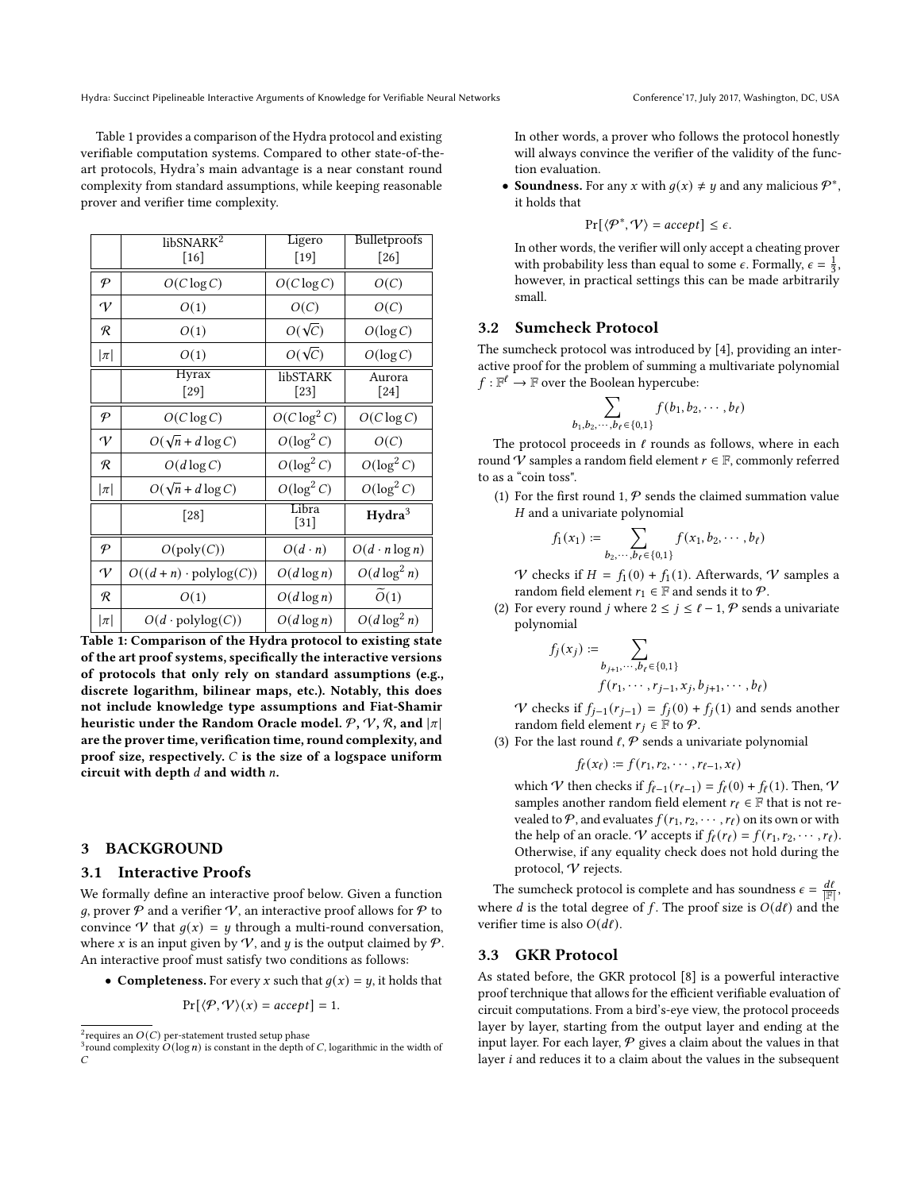Table [1](#page-2-0) provides a comparison of the Hydra protocol and existing verifiable computation systems. Compared to other state-of-theart protocols, Hydra's main advantage is a near constant round complexity from standard assumptions, while keeping reasonable prover and verifier time complexity.

<span id="page-2-0"></span>

|               | libSNARK <sup>2</sup>                | Ligero             | Bulletproofs          |
|---------------|--------------------------------------|--------------------|-----------------------|
|               | $[16]$                               | $[19]$             | [26]                  |
| $\mathcal{P}$ | $O(C \log C)$                        | $O(C \log C)$      | O(C)                  |
| $\gamma$      | O(1)                                 | O(C)               | O(C)                  |
| R             | O(1)                                 | $O(\sqrt{C})$      | $O(\log C)$           |
| $ \pi $       | O(1)                                 | $O(\sqrt{C})$      | $O(\log C)$           |
|               | Hyrax<br>$[29]$                      | libSTARK<br>$[23]$ | Aurora<br>$[24]$      |
| $\mathcal P$  | $O(C \log C)$                        | $O(C \log^2 C)$    | $O(C \log C)$         |
| $\gamma$      | $O(\sqrt{n} + d \log C)$             | $O(\log^2 C)$      | O(C)                  |
| R             | $O(d \log C)$                        | $O(\log^2 C)$      | $O(\log^2 C)$         |
| $ \pi $       | $O(\sqrt{n} + d \log C)$             | $O(\log^2 C)$      | $O(\log^2 C)$         |
|               | [28]                                 | Libra<br>$[31]$    | Hydra <sup>3</sup>    |
| $\mathcal P$  | $O(\text{poly}(C))$                  | $O(d \cdot n)$     | $O(d \cdot n \log n)$ |
| $\gamma$      | $O((d + n) \cdot \text{polylog}(C))$ | $O(d \log n)$      | $O(d \log^2 n)$       |
| R             | O(1)                                 | $O(d \log n)$      | $\overline{O}(1)$     |
| $ \pi $       | $O(d \cdot \text{polylog}(C))$       | $O(d \log n)$      | $O(d \log^2 n)$       |

Table 1: Comparison of the Hydra protocol to existing state of the art proof systems, specifically the interactive versions of protocols that only rely on standard assumptions (e.g., discrete logarithm, bilinear maps, etc.). Notably, this does not include knowledge type assumptions and Fiat-Shamir heuristic under the Random Oracle model.  $P, V, R$ , and  $|\pi|$ are the prover time, verification time, round complexity, and proof size, respectively.  $C$  is the size of a logspace uniform circuit with depth  $d$  and width  $n$ .

#### 3 BACKGROUND

#### 3.1 Interactive Proofs

We formally define an interactive proof below. Given a function g, prover  $P$  and a verifier  $V$ , an interactive proof allows for  $P$  to convince V that  $g(x) = y$  through a multi-round conversation, where x is an input given by V, and y is the output claimed by  $P$ . An interactive proof must satisfy two conditions as follows:

• Completeness. For every x such that  $q(x) = y$ , it holds that

$$
Pr[\langle \mathcal{P}, \mathcal{V} \rangle(x) = accept] = 1.
$$

In other words, a prover who follows the protocol honestly will always convince the verifier of the validity of the function evaluation.

• Soundness. For any *x* with  $g(x) \neq y$  and any malicious  $\mathcal{P}^*$ , it holds that

$$
Pr[\langle \mathcal{P}^*, \mathcal{V} \rangle = accept] \le \epsilon.
$$

In other words, the verifier will only accept a cheating prover with probability less than equal to some  $\epsilon$ . Formally,  $\epsilon = \frac{1}{3}$ , however, in practical settings this can be made arbitrarily small.

#### 3.2 Sumcheck Protocol

 $b_1$ ,

The sumcheck protocol was introduced by [\[4\]](#page-12-28), providing an interactive proof for the problem of summing a multivariate polynomial  $f: \mathbb{F}^{\ell} \to \mathbb{F}$  over the Boolean hypercube:

$$
\sum_{b_2,\cdots,b_\ell\in\{0,1\}} f(b_1,b_2,\cdots,b_\ell)
$$

The protocol proceeds in  $\ell$  rounds as follows, where in each round  $\mathcal V$  samples a random field element  $r \in \mathbb F$ , commonly referred to as a "coin toss".

(1) For the first round 1,  $P$  sends the claimed summation value  $H$  and a univariate polynomial

$$
f_1(x_1) := \sum_{b_2, \cdots, b_\ell \in \{0, 1\}} f(x_1, b_2, \cdots, b_\ell)
$$

V checks if  $H = f_1(0) + f_1(1)$ . Afterwards, V samples a random field element  $r_1 \in \mathbb{F}$  and sends it to  $\mathcal{P}$ .

(2) For every round *j* where  $2 \le j \le \ell - 1$ ,  $P$  sends a univariate polynomial

$$
f_j(x_j) := \sum_{b_{j+1}, \dots, b_{\ell} \in \{0, 1\}} f(r_1, \dots, r_{j-1}, x_j, b_{j+1}, \dots, b_{\ell})
$$

V checks if  $f_{j-1}(r_{j-1}) = f_j(0) + f_j(1)$  and sends another random field element  $r_i \in \mathbb{F}$  to  $\mathcal{P}$ .

(3) For the last round  $\ell$ ,  $P$  sends a univariate polynomial

$$
f_{\ell}(x_{\ell}):=f(r_1,r_2,\cdots,r_{\ell-1},x_{\ell})
$$

which V then checks if  $f_{\ell-1}(r_{\ell-1}) = f_{\ell}(0) + f_{\ell}(1)$ . Then, V samples another random field element  $r_{\ell} \in \mathbb{F}$  that is not revealed to  $P$ , and evaluates  $f(r_1, r_2, \dots, r_\ell)$  on its own or with the help of an oracle. V accepts if  $f_{\ell}(r_{\ell}) = f(r_1, r_2, \cdots, r_{\ell}).$ Otherwise, if any equality check does not hold during the protocol, V rejects.

The sumcheck protocol is complete and has soundness  $\epsilon = \frac{d\ell}{|\mathbb{F}|}$ , where *d* is the total degree of *f*. The proof size is  $O(d\ell)$  and the verifier time is also  $O(d\ell)$ .

#### 3.3 GKR Protocol

As stated before, the GKR protocol [\[8\]](#page-12-2) is a powerful interactive proof terchnique that allows for the efficient verifiable evaluation of circuit computations. From a bird's-eye view, the protocol proceeds layer by layer, starting from the output layer and ending at the input layer. For each layer,  $P$  gives a claim about the values in that layer  $i$  and reduces it to a claim about the values in the subsequent

 $^{2}$ requires an  $O(C)$  per-statement trusted setup phase

<sup>&</sup>lt;sup>3</sup> round complexity  $O(\log n)$  is constant in the depth of C, logarithmic in the width of  $\overline{C}$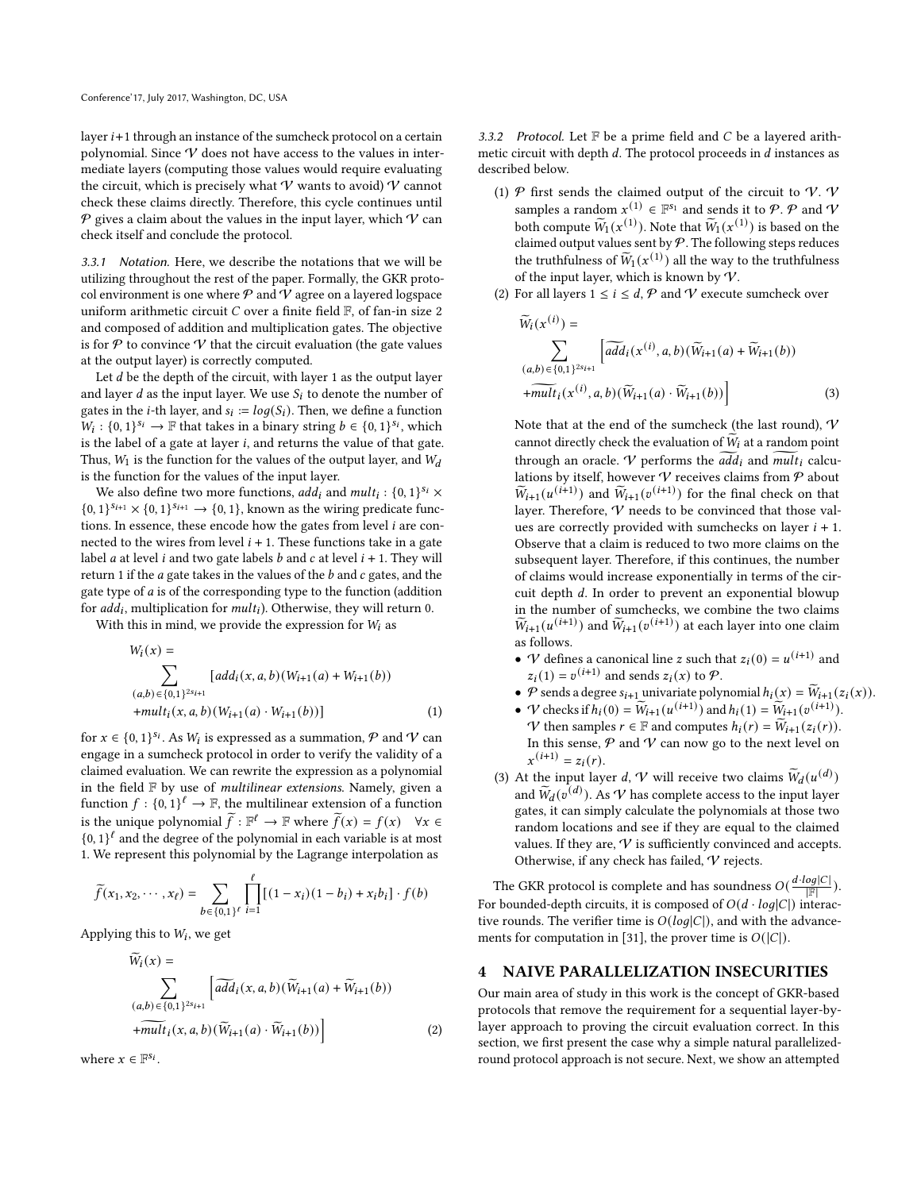layer  $i+1$  through an instance of the sumcheck protocol on a certain polynomial. Since  $V$  does not have access to the values in intermediate layers (computing those values would require evaluating the circuit, which is precisely what  $\mathcal V$  wants to avoid)  $\mathcal V$  cannot check these claims directly. Therefore, this cycle continues until  $P$  gives a claim about the values in the input layer, which  $V$  can check itself and conclude the protocol.

3.3.1 Notation. Here, we describe the notations that we will be utilizing throughout the rest of the paper. Formally, the GKR protocol environment is one where  $P$  and  $V$  agree on a layered logspace uniform arithmetic circuit  $C$  over a finite field  $\mathbb F$ , of fan-in size 2 and composed of addition and multiplication gates. The objective is for  $P$  to convince  $V$  that the circuit evaluation (the gate values at the output layer) is correctly computed.

Let  $d$  be the depth of the circuit, with layer 1 as the output layer and layer *d* as the input layer. We use  $S_i$  to denote the number of gates in the *i*-th layer, and  $s_i := log(S_i)$ . Then, we define a function  $W_i$ :  $\{0, 1\}^{s_i} \rightarrow \mathbb{F}$  that takes in a binary string  $b \in \{0, 1\}^{s_i}$ , which is the label of a gate at layer  $i$ , and returns the value of that gate. Thus,  $W_1$  is the function for the values of the output layer, and  $W_d$ is the function for the values of the input layer.

We also define two more functions,  $\overline{add}_i$  and  $\overline{mult}_i: \{0,1\}^{s_i} \times$  $\{0, 1\}^{s_{i+1}} \times \{0, 1\}^{s_{i+1}} \rightarrow \{0, 1\}$ , known as the wiring predicate functions. In essence, these encode how the gates from level  $i$  are connected to the wires from level  $i + 1$ . These functions take in a gate label *a* at level *i* and two gate labels *b* and *c* at level  $i + 1$ . They will return 1 if the  $a$  gate takes in the values of the  $b$  and  $c$  gates, and the gate type of  $a$  is of the corresponding type to the function (addition for  $add_i$ , multiplication for  $mult_i$ ). Otherwise, they will return 0.

With this in mind, we provide the expression for  $W_i$  as

$$
W_i(x) = \sum_{(a,b) \in \{0,1\}^{2s_{i+1}}} [add_i(x, a, b)(W_{i+1}(a) + W_{i+1}(b))
$$
  
+
$$
mult_i(x, a, b)(W_{i+1}(a) \cdot W_{i+1}(b))]
$$
 (1)

for  $x \in \{0, 1\}^{s_i}$ . As  $W_i$  is expressed as a summation,  $\mathcal P$  and  $\mathcal V$  can engage in a sumcheck protocol in order to verify the validity of a claimed evaluation. We can rewrite the expression as a polynomial in the field  $F$  by use of *multilinear extensions*. Namely, given a function  $f: \{0,1\}^{\ell} \to \mathbb{F}$ , the multilinear extension of a function is the unique polynomial  $\tilde{f}: \mathbb{F}^{\ell} \to \mathbb{F}$  where  $\tilde{f}(x) = f(x) \quad \forall x \in \mathbb{F}$  ${0, 1}^{\ell}$  and the degree of the polynomial in each variable is at most 1. We represent this polynomial by the Lagrange interpolation as

$$
\widetilde{f}(x_1, x_2, \cdots, x_{\ell}) = \sum_{b \in \{0, 1\}^{\ell}} \prod_{i=1}^{\ell} [(1-x_i)(1-b_i) + x_i b_i] \cdot f(b)
$$

Applying this to  $W_i$ , we get

$$
\widetilde{W}_i(x) = \sum_{(a,b) \in \{0,1\}^{2s_{i+1}}} \left[ \widetilde{add}_i(x,a,b)(\widetilde{W}_{i+1}(a) + \widetilde{W}_{i+1}(b)) + \widetilde{mult}_i(x,a,b)(\widetilde{W}_{i+1}(a) \cdot \widetilde{W}_{i+1}(b)) \right]
$$
\n(2)

where  $x \in \mathbb{F}^{s_i}$ .

3.3.2 Protocol. Let  $F$  be a prime field and  $C$  be a layered arithmetic circuit with depth  $d$ . The protocol proceeds in  $d$  instances as described below.

- (1)  $\mathcal P$  first sends the claimed output of the circuit to  $\mathcal V$ .  $\mathcal V$ samples a random  $x^{(1)} \in \mathbb{F}^{s_1}$  and sends it to  $\mathcal{P}$ .  $\mathcal{P}$  and  $\mathcal{V}$ both compute  $\widetilde{W}_1(x^{(1)})$ . Note that  $\widetilde{W}_1(x^{(1)})$  is based on the claimed output values sent by  $P$ . The following steps reduces the truthfulness of  $\widetilde{W}_1(x^{(1)})$  all the way to the truthfulness of the input layer, which is known by  $\mathcal{\dot{V}}.$
- (2) For all layers  $1 \le i \le d$ ,  $P$  and  $V$  execute sumcheck over

$$
\widetilde{W}_i(x^{(i)}) = \sum_{(a,b) \in \{0,1\}^{2s_{i+1}}} \left[ \widetilde{add}_i(x^{(i)}, a, b) (\widetilde{W}_{i+1}(a) + \widetilde{W}_{i+1}(b)) + \widetilde{mult}_i(x^{(i)}, a, b) (\widetilde{W}_{i+1}(a) \cdot \widetilde{W}_{i+1}(b)) \right]
$$
\n(3)

Note that at the end of the sumcheck (the last round),  $\boldsymbol{\mathcal{V}}$ cannot directly check the evaluation of  $W_i$  at a random point through an oracle. V performs the  $add_i$  and mult<sub>i</sub> calculations by itself, however  $\mathcal V$  receives claims from  $\mathcal P$  about  $\widetilde{W}_{i+1}(u^{(i+1)})$  and  $\widetilde{W}_{i+1}(v^{(i+1)})$  for the final check on that layer. Therefore, V needs to be convinced that those values are correctly provided with sumchecks on layer  $i + 1$ . Observe that a claim is reduced to two more claims on the subsequent layer. Therefore, if this continues, the number of claims would increase exponentially in terms of the circuit depth  $d$ . In order to prevent an exponential blowup in the number of sumchecks, we combine the two claims  $\widetilde{W}_{i+1}(u^{(i+1)})$  and  $\widetilde{W}_{i+1}(v^{(i+1)})$  at each layer into one claim as follows.

- *V* defines a canonical line *z* such that  $z_i(0) = u^{(i+1)}$  and  $z_i(1) = v^{(i+1)}$  and sends  $z_i(x)$  to  $\mathcal{P}$ .
- $P$  sends a degree  $s_{i+1}$  univariate polynomial  $h_i(x) = \widetilde{W}_{i+1}(z_i(x)).$
- V checks if  $h_i(0) = \widetilde{W}_{i+1}(u^{(i+1)})$  and  $h_i(1) = \widetilde{W}_{i+1}(v^{(i+1)}).$  $\mathcal V$  then samples  $r \in \mathbb F$  and computes  $h_i(r) = \widetilde{W}_{i+1}(z_i(r)).$ In this sense,  $P$  and  $V$  can now go to the next level on  $x^{(i+1)} = z_i(r).$
- (3) At the input layer d, V will receive two claims  $\widetilde{W}_d(u^{(d)})$ and  $\widetilde{W}_d(v^{(d)})$ . As  $\mathcal V$  has complete access to the input layer gates, it can simply calculate the polynomials at those two random locations and see if they are equal to the claimed values. If they are,  $V$  is sufficiently convinced and accepts. Otherwise, if any check has failed,  $V$  rejects.

The GKR protocol is complete and has soundness  $O(\frac{d \cdot log |C|}{\|F\|})$  $\frac{log|\mathcal{C}|}{|\mathbb{F}|}).$ For bounded-depth circuits, it is composed of  $O(d \cdot log|C|)$  interactive rounds. The verifier time is  $O(log|C|)$ , and with the advance-ments for computation in [\[31\]](#page-12-6), the prover time is  $O(|C|)$ .

#### 4 NAIVE PARALLELIZATION INSECURITIES

Our main area of study in this work is the concept of GKR-based protocols that remove the requirement for a sequential layer-bylayer approach to proving the circuit evaluation correct. In this section, we first present the case why a simple natural parallelizedround protocol approach is not secure. Next, we show an attempted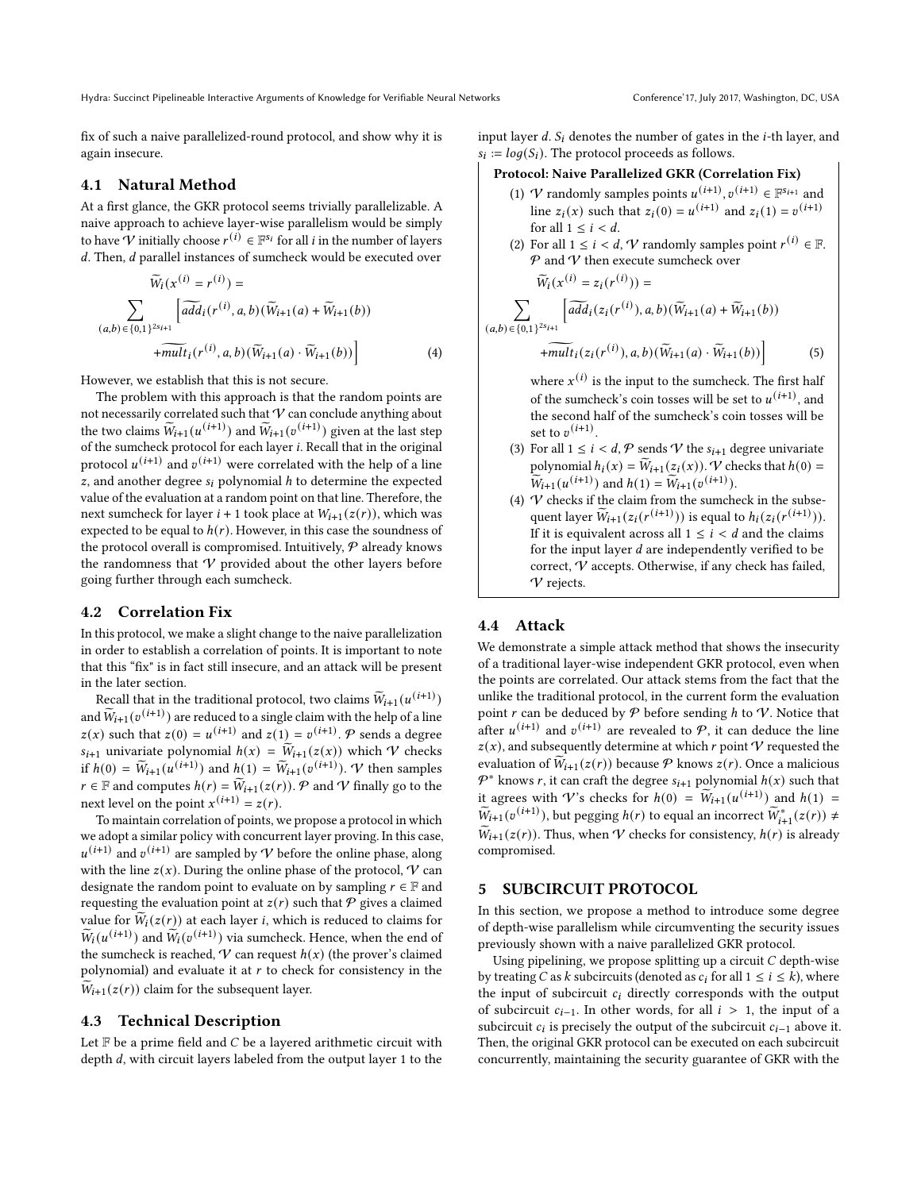fix of such a naive parallelized-round protocol, and show why it is again insecure.

### 4.1 Natural Method

At a first glance, the GKR protocol seems trivially parallelizable. A naive approach to achieve layer-wise parallelism would be simply to have  $\overrightarrow{V}$  initially choose  $r^{(i)} \in \mathbb{F}^{s_i}$  for all *i* in the number of layers  $d$ . Then,  $d$  parallel instances of sumcheck would be executed over

$$
\widetilde{W}_{i}(x^{(i)} = r^{(i)}) = \sum_{(a,b) \in \{0,1\}^{2s_{i+1}}} \left[ \widetilde{add}_{i}(r^{(i)}, a, b)(\widetilde{W}_{i+1}(a) + \widetilde{W}_{i+1}(b)) + \widetilde{mult}_{i}(r^{(i)}, a, b)(\widetilde{W}_{i+1}(a) \cdot \widetilde{W}_{i+1}(b)) \right]
$$
\n(4)

However, we establish that this is not secure.

The problem with this approach is that the random points are not necessarily correlated such that  $\mathcal V$  can conclude anything about the two claims  $\widetilde{W}_{i+1} (u^{(i+1)})$  and  $\widetilde{W}_{i+1} (v^{(i+1)})$  given at the last step of the sumcheck protocol for each layer . Recall that in the original protocol  $u^{(i+1)}$  and  $v^{(i+1)}$  were correlated with the help of a line z, and another degree  $s_i$  polynomial  $h$  to determine the expected value of the evaluation at a random point on that line. Therefore, the next sumcheck for layer  $i + 1$  took place at  $W_{i+1}(z(r))$ , which was expected to be equal to  $h(r)$ . However, in this case the soundness of the protocol overall is compromised. Intuitively,  $P$  already knows the randomness that  $V$  provided about the other layers before going further through each sumcheck.

## 4.2 Correlation Fix

In this protocol, we make a slight change to the naive parallelization in order to establish a correlation of points. It is important to note that this "fix" is in fact still insecure, and an attack will be present in the later section.

Recall that in the traditional protocol, two claims  $\widetilde{W}_{i+1} (u^{(i+1)})$ and  $\widetilde{W}_{i+1} (v^{(i+1)})$  are reduced to a single claim with the help of a line  $z(x)$  such that  $z(0) = u^{(i+1)}$  and  $z(1) = v^{(i+1)}$ . P sends a degree  $s_{i+1}$  univariate polynomial  $h(x) = \widetilde{W}_{i+1}(z(x))$  which  $\mathcal V$  checks if  $h(0) = \widetilde{W}_{i+1}(u^{(i+1)})$  and  $h(1) = \widetilde{W}_{i+1}(v^{(i+1)})$ . *V* then samples  $r \in \mathbb{F}$  and computes  $h(r) = \widetilde{W}_{i+1}(z(r))$ . P and V finally go to the next level on the point  $x^{(i+1)} = z(r)$ .

To maintain correlation of points, we propose a protocol in which we adopt a similar policy with concurrent layer proving. In this case,  $u^{(i+1)}$  and  $v^{(i+1)}$  are sampled by V before the online phase, along with the line  $z(x)$ . During the online phase of the protocol,  $\mathcal V$  can designate the random point to evaluate on by sampling  $r \in \mathbb{F}$  and requesting the evaluation point at  $z(r)$  such that P gives a claimed value for  $\widetilde{W}_i(z(r))$  at each layer *i*, which is reduced to claims for  $\widetilde{W}_i(u^{(i+1)})$  and  $\widetilde{W}_i(v^{(i+1)})$  via sumcheck. Hence, when the end of the sumcheck is reached,  $\mathcal V$  can request  $h(x)$  (the prover's claimed polynomial) and evaluate it at  $r$  to check for consistency in the  $\widetilde{W}_{i+1}(z(r))$  claim for the subsequent layer.

#### 4.3 Technical Description

Let  $F$  be a prime field and  $C$  be a layered arithmetic circuit with depth  $d$ , with circuit layers labeled from the output layer 1 to the input layer  $d$ .  $S_i$  denotes the number of gates in the *i*-th layer, and  $s_i := log(S_i)$ . The protocol proceeds as follows.

## Protocol: Naive Parallelized GKR (Correlation Fix)

- (1)  $\mathcal V$  randomly samples points  $u^{(i+1)}, v^{(i+1)} \in \mathbb F^{s_{i+1}}$  and line  $z_i(x)$  such that  $z_i(0) = u^{(i+1)}$  and  $z_i(1) = v^{(i+1)}$ for all  $1 \le i \le d$ .
- (2) For all  $1 \leq i < d$ ,  $\mathcal V$  randomly samples point  $r^{(i)} \in \mathbb F$ .  $P$  and  $V$  then execute sumcheck over

$$
\widetilde{W}_{i}(x^{(i)} = z_{i}(r^{(i)})) =
$$
\n
$$
\sum_{(a,b) \in \{0,1\}^{2si+1}} \left[ \widetilde{add}_{i}(z_{i}(r^{(i)}), a, b)(\widetilde{W}_{i+1}(a) + \widetilde{W}_{i+1}(b)) + \widetilde{mult}_{i}(z_{i}(r^{(i)}), a, b)(\widetilde{W}_{i+1}(a) \cdot \widetilde{W}_{i+1}(b)) \right] \tag{5}
$$

where  $x^{(i)}$  is the input to the sumcheck. The first half of the sumcheck's coin tosses will be set to  $u^{(i+1)}$ , and the second half of the sumcheck's coin tosses will be set to  $v^{(i+1)}$ .

- (3) For all  $1 \le i < d$ ,  $P$  sends  $V$  the  $s_{i+1}$  degree univariate polynomial  $h_i(x) = \widetilde{W}_{i+1}(z_i(x))$ . V checks that  $h(0) =$  $\widetilde{W}_{i+1}(u^{(i+1)})$  and  $h(1) = \widetilde{W}_{i+1}(v^{(i+1)}).$
- (4)  $V$  checks if the claim from the sumcheck in the subsequent layer  $\widetilde{W}_{i+1}(z_i(r^{(i+1)}))$  is equal to  $h_i(z_i(r^{(i+1)}))$ . If it is equivalent across all  $1 \leq i < d$  and the claims for the input layer  $d$  are independently verified to be correct,  $V$  accepts. Otherwise, if any check has failed, V rejects.

# 4.4 Attack

We demonstrate a simple attack method that shows the insecurity of a traditional layer-wise independent GKR protocol, even when the points are correlated. Our attack stems from the fact that the unlike the traditional protocol, in the current form the evaluation point  $r$  can be deduced by  $P$  before sending  $h$  to  $V$ . Notice that after  $u^{(i+1)}$  and  $v^{(i+1)}$  are revealed to  $P$ , it can deduce the line  $z(x)$ , and subsequently determine at which r point V requested the evaluation of  $\widetilde{W}_{i+1}(z(r))$  because  $\mathcal P$  knows  $z(r)$ . Once a malicious  $\mathcal{P}^*$  knows r, it can craft the degree  $s_{i+1}$  polynomial  $h(x)$  such that it agrees with V's checks for  $h(0) = \widetilde{W}_{i+1}(u^{(i+1)})$  and  $h(1) =$  $\widetilde{W}_{i+1}(v^{(i+1)}),$  but pegging  $h(r)$  to equal an incorrect  $\widetilde{W}_{i+1}^*(z(r)) \neq$  $\widetilde{W}_{i+1}(z(r))$ . Thus, when V checks for consistency,  $h(r)$  is already compromised.

#### 5 SUBCIRCUIT PROTOCOL

In this section, we propose a method to introduce some degree of depth-wise parallelism while circumventing the security issues previously shown with a naive parallelized GKR protocol.

Using pipelining, we propose splitting up a circuit  $C$  depth-wise by treating C as k subcircuits (denoted as  $c_i$  for all  $1 \le i \le k$ ), where the input of subcircuit  $c_i$  directly corresponds with the output of subcircuit  $c_{i-1}$ . In other words, for all  $i > 1$ , the input of a subcircuit  $c_i$  is precisely the output of the subcircuit  $c_{i-1}$  above it. Then, the original GKR protocol can be executed on each subcircuit concurrently, maintaining the security guarantee of GKR with the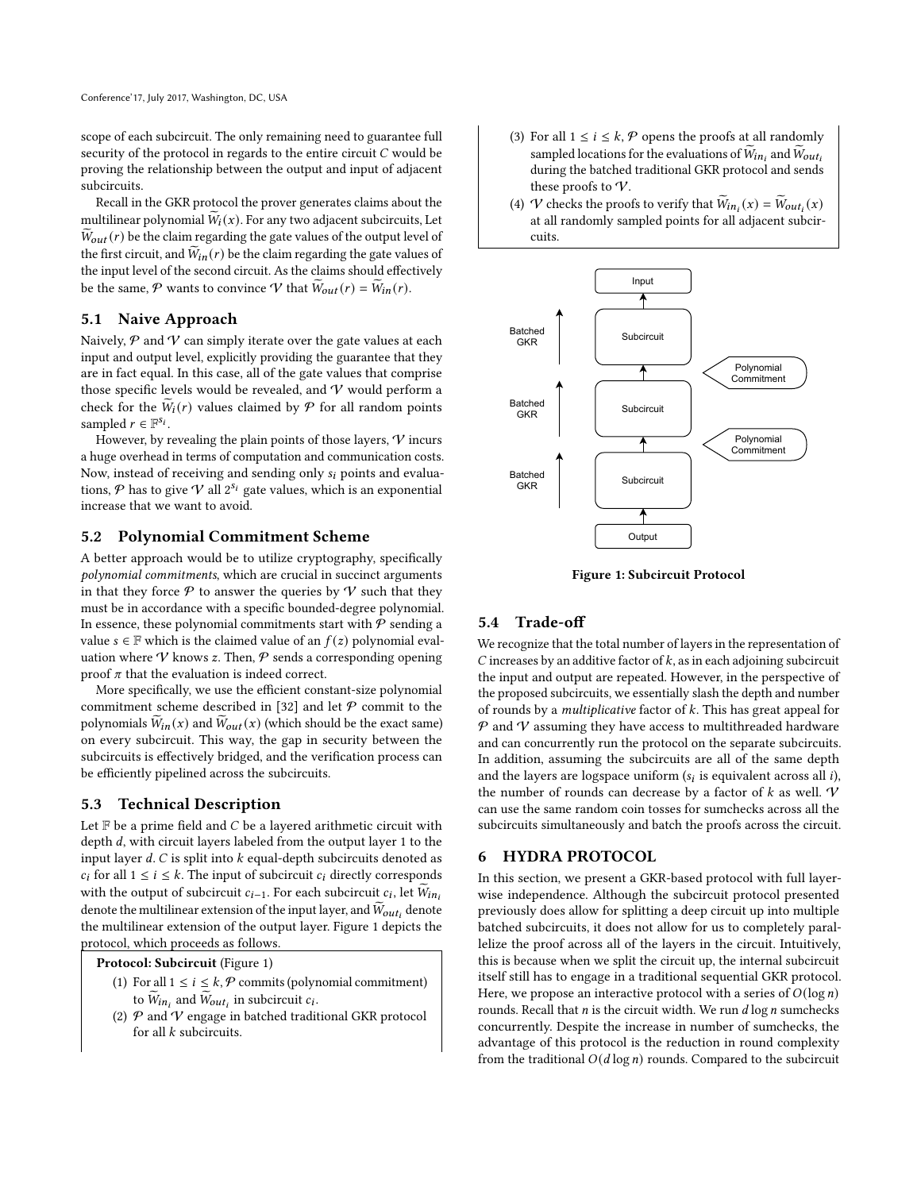scope of each subcircuit. The only remaining need to guarantee full security of the protocol in regards to the entire circuit  $C$  would be proving the relationship between the output and input of adjacent subcircuits.

Recall in the GKR protocol the prover generates claims about the multilinear polynomial  $W_i(x)$ . For any two adjacent subcircuits, Let  $W_{out}(r)$  be the claim regarding the gate values of the output level of the first circuit, and  $\widetilde{W}_{in}(r)$  be the claim regarding the gate values of the input level of the second circuit. As the claims should effectively be the same, P wants to convince V that  $\widetilde{W}_{out}(r) = \widetilde{W}_{in}(r)$ .

## 5.1 Naive Approach

Naively,  $P$  and  $V$  can simply iterate over the gate values at each input and output level, explicitly providing the guarantee that they are in fact equal. In this case, all of the gate values that comprise those specific levels would be revealed, and  $V$  would perform a check for the  $\widetilde{W}_i(r)$  values claimed by  $\mathcal P$  for all random points sampled  $r \in \mathbb{F}^{s_i}$ .

However, by revealing the plain points of those layers,  $V$  incurs a huge overhead in terms of computation and communication costs. Now, instead of receiving and sending only  $s_i$  points and evaluations,  $P$  has to give  $V$  all  $2^{s_i}$  gate values, which is an exponential increase that we want to avoid.

## 5.2 Polynomial Commitment Scheme

A better approach would be to utilize cryptography, specifically polynomial commitments, which are crucial in succinct arguments in that they force  $P$  to answer the queries by  $V$  such that they must be in accordance with a specific bounded-degree polynomial. In essence, these polynomial commitments start with  $P$  sending a value  $s \in \mathbb{F}$  which is the claimed value of an  $f(z)$  polynomial evaluation where  $\gamma$  knows z. Then,  $\varphi$  sends a corresponding opening proof  $\pi$  that the evaluation is indeed correct.

More specifically, we use the efficient constant-size polynomial commitment scheme described in [\[32\]](#page-12-29) and let  $P$  commit to the polynomials  $\widetilde{W}_{in}(x)$  and  $\widetilde{W}_{out}(x)$  (which should be the exact same) on every subcircuit. This way, the gap in security between the subcircuits is effectively bridged, and the verification process can be efficiently pipelined across the subcircuits.

## 5.3 Technical Description

Let  $F$  be a prime field and  $C$  be a layered arithmetic circuit with depth  $d$ , with circuit layers labeled from the output layer 1 to the input layer  $d$ .  $C$  is split into  $k$  equal-depth subcircuits denoted as  $c_i$  for all  $1 \le i \le k$ . The input of subcircuit  $c_i$  directly corresponds with the output of subcircuit  $c_{i-1}$ . For each subcircuit  $c_i$ , let  $\widetilde{W}_{in_i}$ denote the multilinear extension of the input layer, and  $\widetilde{W}_{out_i}$  denote the multilinear extension of the output layer. Figure [1](#page-5-0) depicts the protocol, which proceeds as follows.

Protocol: Subcircuit (Figure [1\)](#page-5-0)

- (1) For all  $1 \le i \le k$ ,  $P$  commits (polynomial commitment) to  $\widetilde{W}_{in_i}$  and  $\widetilde{W}_{out_i}$  in subcircuit  $c_i$ .
- (2)  $P$  and  $V$  engage in batched traditional GKR protocol for all  $k$  subcircuits.
- (3) For all  $1 \le i \le k$ ,  $P$  opens the proofs at all randomly sampled locations for the evaluations of  $\widetilde{W}_{in_i}$  and  $\widetilde{W}_{out_i}$ during the batched traditional GKR protocol and sends these proofs to  $V$ .
- (4) V checks the proofs to verify that  $\widetilde{W}_{in_i}(x) = \widetilde{W}_{out_i}(x)$ at all randomly sampled points for all adjacent subcircuits.

<span id="page-5-0"></span>

Figure 1: Subcircuit Protocol

#### 5.4 Trade-off

We recognize that the total number of layers in the representation of  $C$  increases by an additive factor of  $k$ , as in each adjoining subcircuit the input and output are repeated. However, in the perspective of the proposed subcircuits, we essentially slash the depth and number of rounds by a *multiplicative* factor of  $k$ . This has great appeal for  $P$  and  $V$  assuming they have access to multithreaded hardware and can concurrently run the protocol on the separate subcircuits. In addition, assuming the subcircuits are all of the same depth and the layers are logspace uniform  $(s_i$  is equivalent across all  $i$ ), the number of rounds can decrease by a factor of  $k$  as well.  $V$ can use the same random coin tosses for sumchecks across all the subcircuits simultaneously and batch the proofs across the circuit.

## 6 HYDRA PROTOCOL

In this section, we present a GKR-based protocol with full layerwise independence. Although the subcircuit protocol presented previously does allow for splitting a deep circuit up into multiple batched subcircuits, it does not allow for us to completely parallelize the proof across all of the layers in the circuit. Intuitively, this is because when we split the circuit up, the internal subcircuit itself still has to engage in a traditional sequential GKR protocol. Here, we propose an interactive protocol with a series of  $O(\log n)$ rounds. Recall that  $n$  is the circuit width. We run  $d \log n$  sumchecks concurrently. Despite the increase in number of sumchecks, the advantage of this protocol is the reduction in round complexity from the traditional  $O(d \log n)$  rounds. Compared to the subcircuit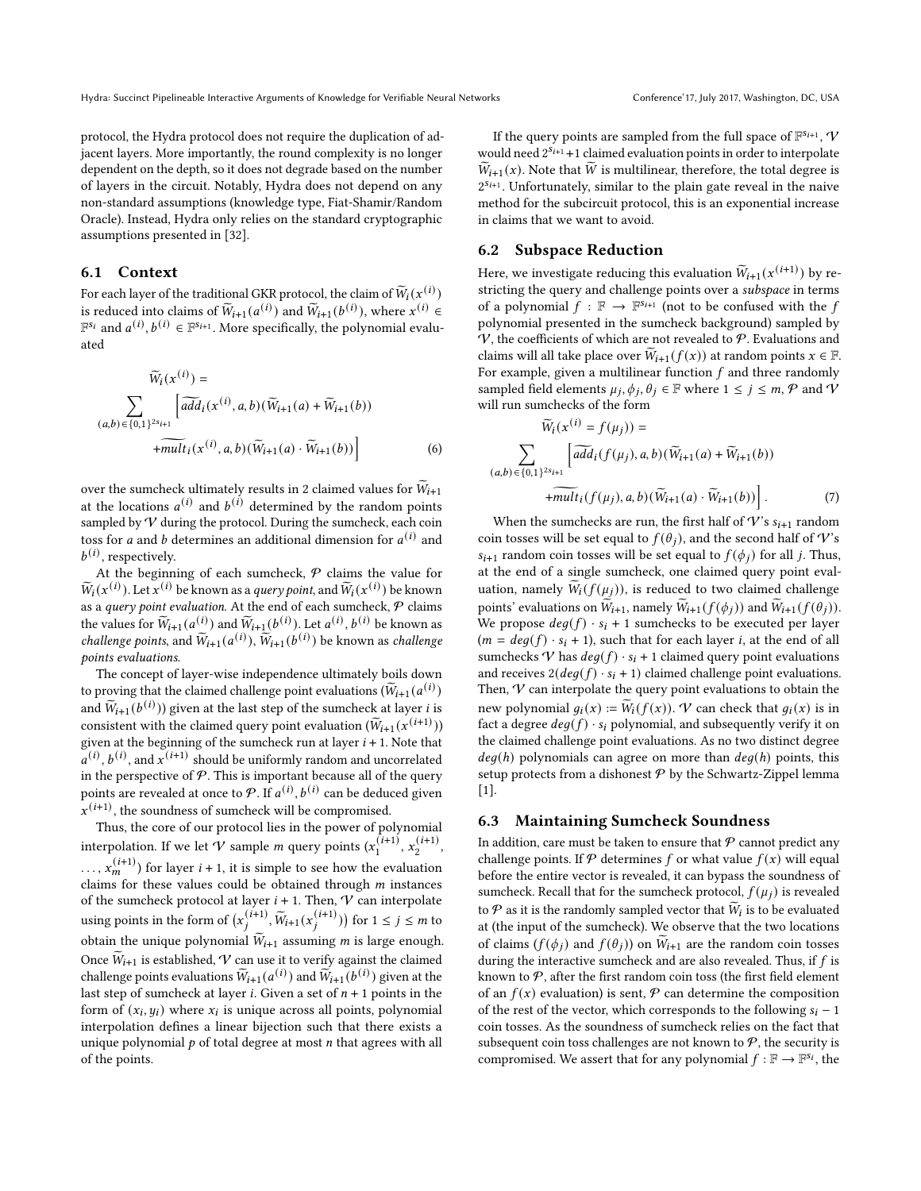protocol, the Hydra protocol does not require the duplication of adjacent layers. More importantly, the round complexity is no longer dependent on the depth, so it does not degrade based on the number of layers in the circuit. Notably, Hydra does not depend on any non-standard assumptions (knowledge type, Fiat-Shamir/Random Oracle). Instead, Hydra only relies on the standard cryptographic assumptions presented in [\[32\]](#page-12-29).

## 6.1 Context

For each layer of the traditional GKR protocol, the claim of  $\widetilde{W}_i(x^{(i)})$ is reduced into claims of  $\widetilde{W}_{i+1}(a^{(i)})$  and  $\widetilde{W}_{i+1}(b^{(i)})$ , where  $x^{(i)} \in$  $\mathbb{F}^{S_i}$  and  $a^{(i)}$ ,  $b^{(i)} \in \mathbb{F}^{S_{i+1}}$ . More specifically, the polynomial evaluated

$$
\widetilde{W}_{i}(x^{(i)}) = \sum_{(a,b) \in \{0,1\}^{2s_{i+1}}} \left[ \widetilde{add}_{i}(x^{(i)}, a, b)(\widetilde{W}_{i+1}(a) + \widetilde{W}_{i+1}(b)) + \widetilde{mult}_{i}(x^{(i)}, a, b)(\widetilde{W}_{i+1}(a) \cdot \widetilde{W}_{i+1}(b)) \right]
$$
\n(6)

over the sumcheck ultimately results in 2 claimed values for  $\widetilde{W}_{i+1}$ at the locations  $a^{(i)}$  and  $b^{(i)}$  determined by the random points sampled by  $V$  during the protocol. During the sumcheck, each coin toss for a and b determines an additional dimension for  $a^{(i)}$  and  $b^{(i)}$ , respectively.

At the beginning of each sumcheck,  $P$  claims the value for  $\widetilde{W}_i(x^{(i)})$ . Let  $x^{(i)}$  be known as a *query point*, and  $\widetilde{W}_i(x^{(i)})$  be known as a query point evaluation. At the end of each sumcheck,  $P$  claims the values for  $\widetilde{W}_{i+1} (a^{(i)})$  and  $\widetilde{W}_{i+1} (b^{(i)})$ . Let  $a^{(i)}$ ,  $b^{(i)}$  be known as challenge points, and  $\widetilde{W}_{i+1} (a^{(i)}), \widetilde{W}_{i+1} (b^{(i)})$  be known as challenge points evaluations.

The concept of layer-wise independence ultimately boils down to proving that the claimed challenge point evaluations  $(\widetilde{W}_{i+1} (a^{(i)})$ and  $\widetilde{W}_{i+1} (b^{(i)})$ ) given at the last step of the sumcheck at layer *i* is consistent with the claimed query point evaluation  $(\widetilde{W}_{i+1} (x^{(i+1)}))$ given at the beginning of the sumcheck run at layer  $i + 1$ . Note that  $\alpha^{(i)}$ ,  $b^{(i)}$ , and  $x^{(i+1)}$  should be uniformly random and uncorrelated in the perspective of  $P$ . This is important because all of the query points are revealed at once to  $P$ . If  $a^{(i)}$ ,  $b^{(i)}$  can be deduced given  $\mathbf{x}^{(i+1)}$ , the soundness of sumcheck will be compromised.

Thus, the core of our protocol lies in the power of polynomial interpolation. If we let  $V$  sample  $m$  query points  $(x_1^{(i+1)}, x_2^{(i+1)})$ ,  $\dots$ ,  $x_m^{(i+1)}$  for layer  $i+1$ , it is simple to see how the evaluation claims for these values could be obtained through  $m$  instances of the sumcheck protocol at layer  $i + 1$ . Then,  $\mathcal V$  can interpolate using points in the form of  $(x_j^{(i+1)}, \widetilde{W}_{i+1}(x_j^{(i+1)}))$  for  $1 \le j \le m$  to obtain the unique polynomial  $\widetilde{W}_{i+1}$  assuming *m* is large enough. Once  $\widetilde{W}_{i+1}$  is established,  $V$  can use it to verify against the claimed challenge points evaluations  $\widetilde{W}_{i+1} (a^{(i)})$  and  $\widetilde{W}_{i+1} (b^{(i)})$  given at the last step of sumcheck at layer *i*. Given a set of  $n + 1$  points in the form of  $(x_i, y_i)$  where  $x_i$  is unique across all points, polynomial interpolation defines a linear bijection such that there exists a unique polynomial  $p$  of total degree at most  $n$  that agrees with all of the points.

If the query points are sampled from the full space of  $\mathbb{F}^{s_{i+1}}, \mathcal{V}$ would need  $2^{s_{i+1}}+1$  claimed evaluation points in order to interpolate  $\widetilde{W}_{i+1}(x)$ . Note that  $\widetilde{W}$  is multilinear, therefore, the total degree is  $2^{S_{i+1}}$ . Unfortunately, similar to the plain gate reveal in the naive method for the subcircuit protocol, this is an exponential increase in claims that we want to avoid.

# 6.2 Subspace Reduction

Here, we investigate reducing this evaluation  $\widetilde{W}_{i+1}(x^{(i+1)})$  by restricting the query and challenge points over a subspace in terms of a polynomial  $f : \mathbb{F} \to \mathbb{F}^{S_{i+1}}$  (not to be confused with the f polynomial presented in the sumcheck background) sampled by  $V$ , the coefficients of which are not revealed to  $P$ . Evaluations and claims will all take place over  $\widetilde{W}_{i+1}( f(x))$  at random points  $x \in \mathbb{F}$ . For example, given a multilinear function  $f$  and three randomly sampled field elements  $\mu_j$ ,  $\phi_j$ ,  $\theta_j \in \mathbb{F}$  where  $1 \leq j \leq m$ ,  $\mathcal{P}$  and  $\mathcal{V}$ will run sumchecks of the form

$$
\widetilde{W}_{i}(x^{(i)} = f(\mu_{j})) =
$$
\n
$$
\sum_{(a,b) \in \{0,1\}^{2s_{i+1}}} \left[ \widetilde{add}_{i}(f(\mu_{j}), a, b)(\widetilde{W}_{i+1}(a) + \widetilde{W}_{i+1}(b)) + \widetilde{mult}_{i}(f(\mu_{j}), a, b)(\widetilde{W}_{i+1}(a) \cdot \widetilde{W}_{i+1}(b)) \right].
$$
\n(7)

When the sumchecks are run, the first half of  $V$ 's  $s_{i+1}$  random coin tosses will be set equal to  $f(\theta_i)$ , and the second half of V's  $s_{i+1}$  random coin tosses will be set equal to  $f(\phi_i)$  for all j. Thus, at the end of a single sumcheck, one claimed query point evaluation, namely  $\widetilde{W}_i(f(\mu_i))$ , is reduced to two claimed challenge points' evaluations on  $\widetilde{W}_{i+1}$ , namely  $\widetilde{W}_{i+1} ( f(\phi_i) )$  and  $\widetilde{W}_{i+1} ( f(\theta_i) )$ . We propose  $deg(f) \cdot s_i + 1$  sumchecks to be executed per layer  $(m = deg(f) \cdot s_i + 1)$ , such that for each layer *i*, at the end of all sumchecks  $V$  has  $deg(f) \cdot s_i + 1$  claimed query point evaluations and receives  $2(deg(f) \cdot s_i + 1)$  claimed challenge point evaluations. Then,  $\mathcal V$  can interpolate the query point evaluations to obtain the new polynomial  $g_i(x) := \widetilde{W}_i(f(x))$ . V can check that  $g_i(x)$  is in fact a degree  $deg(f) \cdot s_i$  polynomial, and subsequently verify it on the claimed challenge point evaluations. As no two distinct degree  $deg(h)$  polynomials can agree on more than  $deg(h)$  points, this setup protects from a dishonest  $P$  by the Schwartz-Zippel lemma [\[1\]](#page-12-30).

#### 6.3 Maintaining Sumcheck Soundness

In addition, care must be taken to ensure that  $P$  cannot predict any challenge points. If  $P$  determines  $f$  or what value  $f(x)$  will equal before the entire vector is revealed, it can bypass the soundness of sumcheck. Recall that for the sumcheck protocol,  $f(\mu_i)$  is revealed to  $P$  as it is the randomly sampled vector that  $\widetilde{W}_i$  is to be evaluated at (the input of the sumcheck). We observe that the two locations of claims ( $f(\phi_i)$  and  $f(\theta_i)$ ) on  $\widetilde{W}_{i+1}$  are the random coin tosses during the interactive sumcheck and are also revealed. Thus, if  $f$  is known to  $P$ , after the first random coin toss (the first field element of an  $f(x)$  evaluation) is sent,  $P$  can determine the composition of the rest of the vector, which corresponds to the following  $s_i - 1$ coin tosses. As the soundness of sumcheck relies on the fact that subsequent coin toss challenges are not known to  $P$ , the security is compromised. We assert that for any polynomial  $f : \mathbb{F} \to \mathbb{F}^{s_i}$ , the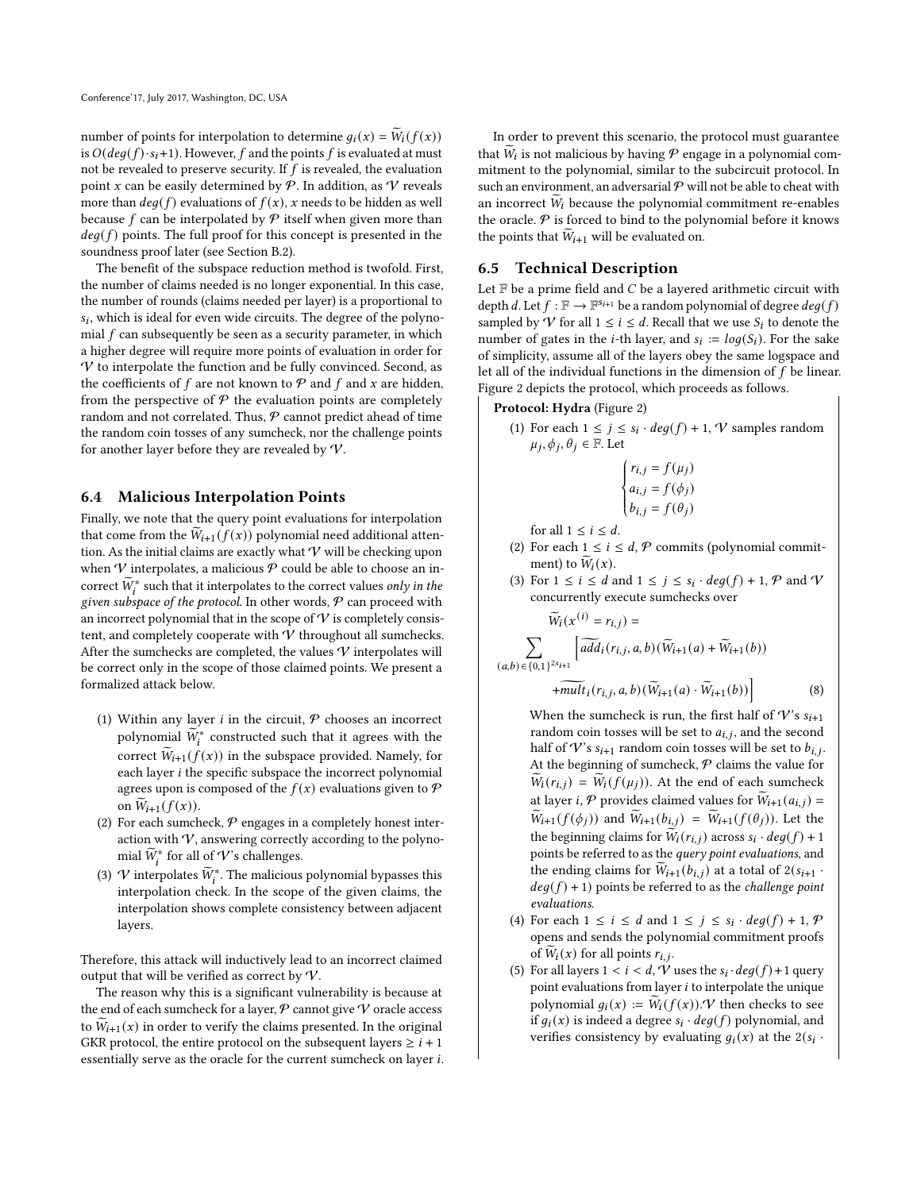number of points for interpolation to determine  $q_i(x) = \widetilde{W}_i(f(x))$ is  $O(deg(f) \cdot s_i + 1)$ . However, f and the points f is evaluated at must not be revealed to preserve security. If  $f$  is revealed, the evaluation point x can be easily determined by  $P$ . In addition, as V reveals more than  $deg(f)$  evaluations of  $f(x)$ , x needs to be hidden as well because  $f$  can be interpolated by  $\mathcal P$  itself when given more than  $deg(f)$  points. The full proof for this concept is presented in the soundness proof later (see Section [B.2\)](#page-13-0).

The benefit of the subspace reduction method is twofold. First, the number of claims needed is no longer exponential. In this case, the number of rounds (claims needed per layer) is a proportional to  $s_i$ , which is ideal for even wide circuits. The degree of the polynomial  $f$  can subsequently be seen as a security parameter, in which a higher degree will require more points of evaluation in order for  $V$  to interpolate the function and be fully convinced. Second, as the coefficients of  $f$  are not known to  $\mathcal P$  and  $f$  and  $x$  are hidden, from the perspective of  $P$  the evaluation points are completely random and not correlated. Thus,  $P$  cannot predict ahead of time the random coin tosses of any sumcheck, nor the challenge points for another layer before they are revealed by  $V$ .

## 6.4 Malicious Interpolation Points

Finally, we note that the query point evaluations for interpolation that come from the  $\widetilde{W}_{i+1}( f(x))$  polynomial need additional attention. As the initial claims are exactly what  $\mathcal V$  will be checking upon when  $\mathcal V$  interpolates, a malicious  $\mathcal P$  could be able to choose an incorrect  $\widetilde{W}_i^*$  such that it interpolates to the correct values only in the given subspace of the protocol. In other words,  $P$  can proceed with an incorrect polynomial that in the scope of  $\mathcal V$  is completely consistent, and completely cooperate with  $V$  throughout all sumchecks. After the sumchecks are completed, the values  $\boldsymbol{\mathcal{V}}$  interpolates will be correct only in the scope of those claimed points. We present a formalized attack below.

- (1) Within any layer  $i$  in the circuit,  $P$  chooses an incorrect polynomial  $\widetilde{W}_{i}^{*}$  constructed such that it agrees with the correct  $\widetilde{W}_{i+1}( f(x))$  in the subspace provided. Namely, for each layer  $i$  the specific subspace the incorrect polynomial agrees upon is composed of the  $f(x)$  evaluations given to  $\mathcal P$ on  $W_{i+1} ( f(x)).$
- (2) For each sumcheck,  $P$  engages in a completely honest interaction with  $V$ , answering correctly according to the polynomial  $\widetilde{W}_i^*$  for all of  ${\mathcal V}$ 's challenges.
- (3)  $V$  interpolates  $\widetilde{W}_i^*$ . The malicious polynomial bypasses this interpolation check. In the scope of the given claims, the interpolation shows complete consistency between adjacent layers.

Therefore, this attack will inductively lead to an incorrect claimed output that will be verified as correct by  $V$ .

The reason why this is a significant vulnerability is because at the end of each sumcheck for a layer,  ${\mathcal P}$  cannot give  ${\mathcal V}$  oracle access to  $W_{i+1}(x)$  in order to verify the claims presented. In the original GKR protocol, the entire protocol on the subsequent layers  $\ge i + 1$ essentially serve as the oracle for the current sumcheck on layer i.

In order to prevent this scenario, the protocol must guarantee that  $\widetilde{W}_i$  is not malicious by having  $P$  engage in a polynomial commitment to the polynomial, similar to the subcircuit protocol. In such an environment, an adversarial  $P$  will not be able to cheat with an incorrect  $W_i$  because the polynomial commitment re-enables the oracle.  $P$  is forced to bind to the polynomial before it knows the points that  $\widetilde{W}_{i+1}$  will be evaluated on.

#### 6.5 Technical Description

Let  $F$  be a prime field and  $C$  be a layered arithmetic circuit with depth d. Let  $f : \mathbb{F} \to \mathbb{F}^{s_{i+1}}$  be a random polynomial of degree  $deg(f)$ sampled by  $\mathcal V$  for all  $1 \leq i \leq d$ . Recall that we use  $S_i$  to denote the number of gates in the *i*-th layer, and  $s_i := log(S_i)$ . For the sake of simplicity, assume all of the layers obey the same logspace and let all of the individual functions in the dimension of  $f$  be linear. Figure [2](#page-8-0) depicts the protocol, which proceeds as follows.

#### Protocol: Hydra (Figure [2\)](#page-8-0)

(1) For each  $1 \le j \le s_i \cdot deg(f) + 1$ ,  $\mathcal V$  samples random  $\mu_j$ ,  $\phi_j$ ,  $\theta_j \in \mathbb{F}$ . Let

$$
\begin{cases} r_{i,j} = f(\mu_j) \\ a_{i,j} = f(\phi_j) \\ b_{i,j} = f(\theta_j) \end{cases}
$$

for all 
$$
1 \leq i \leq d
$$
.

- (2) For each  $1 \le i \le d$ ,  $P$  commits (polynomial commitment) to  $W_i(x)$ .
- (3) For  $1 \le i \le d$  and  $1 \le j \le s_i \cdot deg(f) + 1$ ,  $P$  and  $V$ concurrently execute sumchecks over

$$
\widetilde{W}_i(x^{(i)} = r_{i,j}) = \sum_{(a,b) \in \{0,1\}^{2s_{i+1}}} \left[ \widetilde{add}_i(r_{i,j}, a, b) (\widetilde{W}_{i+1}(a) + \widetilde{W}_{i+1}(b)) + \widetilde{mult}_i(r_{i,j}, a, b) (\widetilde{W}_{i+1}(a) \cdot \widetilde{W}_{i+1}(b)) \right]
$$
\n(8)

When the sumcheck is run, the first half of  $\mathcal{V}$ 's  $s_{i+1}$ random coin tosses will be set to  $a_{i,j}$ , and the second half of V's  $s_{i+1}$  random coin tosses will be set to  $b_{i,i}$ . At the beginning of sumcheck,  $P$  claims the value for  $W_i(r_{i,j}) = W_i(f(\mu_i))$ . At the end of each sumcheck at layer *i*, P provides claimed values for  $\widetilde{W}_{i+1}(a_{i,j}) =$  $\widetilde{W}_{i+1} ( f(\phi_j))$  and  $\widetilde{W}_{i+1} ( b_{i,j}) = \widetilde{W}_{i+1} ( f(\theta_j))$ . Let the the beginning claims for  $\widetilde{W}_i(r_{i,j})$  across  $s_i \cdot deg(f) + 1$ points be referred to as the query point evaluations, and the ending claims for  $\widetilde{W}_{i+1} (b_{i,j})$  at a total of  $2(s_{i+1}$ .  $deg(f) + 1$ ) points be referred to as the *challenge point* evaluations.

- (4) For each  $1 \le i \le d$  and  $1 \le j \le s_i \cdot deg(f) + 1$ ,  $\mathcal{P}$ opens and sends the polynomial commitment proofs of  $W_i(x)$  for all points  $r_{i,j}$ .
- (5) For all layers  $1 < i < d$ ,  $\hat{V}$  uses the  $s_i \cdot deg(f) + 1$  query point evaluations from layer  $i$  to interpolate the unique polynomial  $q_i(x) := W_i(f(x)).\mathcal{V}$  then checks to see if  $g_i(x)$  is indeed a degree  $s_i \cdot deg(f)$  polynomial, and verifies consistency by evaluating  $g_i(x)$  at the  $2(s_i \cdot$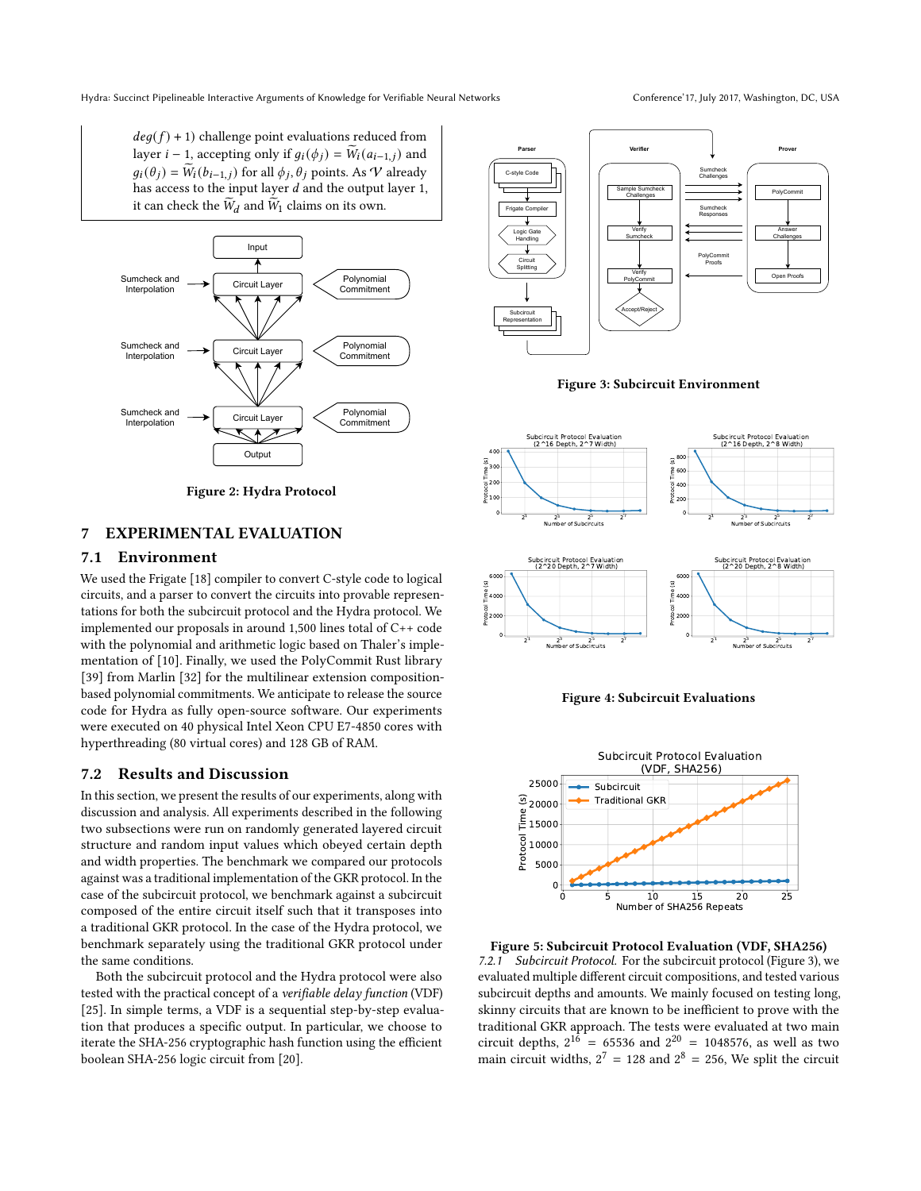<span id="page-8-0"></span>

Figure 2: Hydra Protocol

# 7 EXPERIMENTAL EVALUATION

# 7.1 Environment

We used the Frigate [\[18\]](#page-12-31) compiler to convert C-style code to logical circuits, and a parser to convert the circuits into provable representations for both the subcircuit protocol and the Hydra protocol. We implemented our proposals in around 1,500 lines total of C++ code with the polynomial and arithmetic logic based on Thaler's implementation of [\[10\]](#page-12-4). Finally, we used the PolyCommit Rust library [\[39\]](#page-12-32) from Marlin [\[32\]](#page-12-29) for the multilinear extension compositionbased polynomial commitments. We anticipate to release the source code for Hydra as fully open-source software. Our experiments were executed on 40 physical Intel Xeon CPU E7-4850 cores with hyperthreading (80 virtual cores) and 128 GB of RAM.

## 7.2 Results and Discussion

In this section, we present the results of our experiments, along with discussion and analysis. All experiments described in the following two subsections were run on randomly generated layered circuit structure and random input values which obeyed certain depth and width properties. The benchmark we compared our protocols against was a traditional implementation of the GKR protocol. In the case of the subcircuit protocol, we benchmark against a subcircuit composed of the entire circuit itself such that it transposes into a traditional GKR protocol. In the case of the Hydra protocol, we benchmark separately using the traditional GKR protocol under the same conditions.

Both the subcircuit protocol and the Hydra protocol were also tested with the practical concept of a verifiable delay function (VDF) [\[25\]](#page-12-33). In simple terms, a VDF is a sequential step-by-step evaluation that produces a specific output. In particular, we choose to iterate the SHA-256 cryptographic hash function using the efficient boolean SHA-256 logic circuit from [\[20\]](#page-12-34).



<span id="page-8-1"></span>



<span id="page-8-2"></span>



<span id="page-8-3"></span>

Figure 5: Subcircuit Protocol Evaluation (VDF, SHA256) 7.2.1 Subcircuit Protocol. For the subcircuit protocol (Figure [3\)](#page-8-1), we evaluated multiple different circuit compositions, and tested various subcircuit depths and amounts. We mainly focused on testing long, skinny circuits that are known to be inefficient to prove with the traditional GKR approach. The tests were evaluated at two main circuit depths,  $2^{16} = 65536$  and  $2^{20} = 1048576$ , as well as two main circuit widths,  $2^7 = 128$  and  $2^8 = 256$ , We split the circuit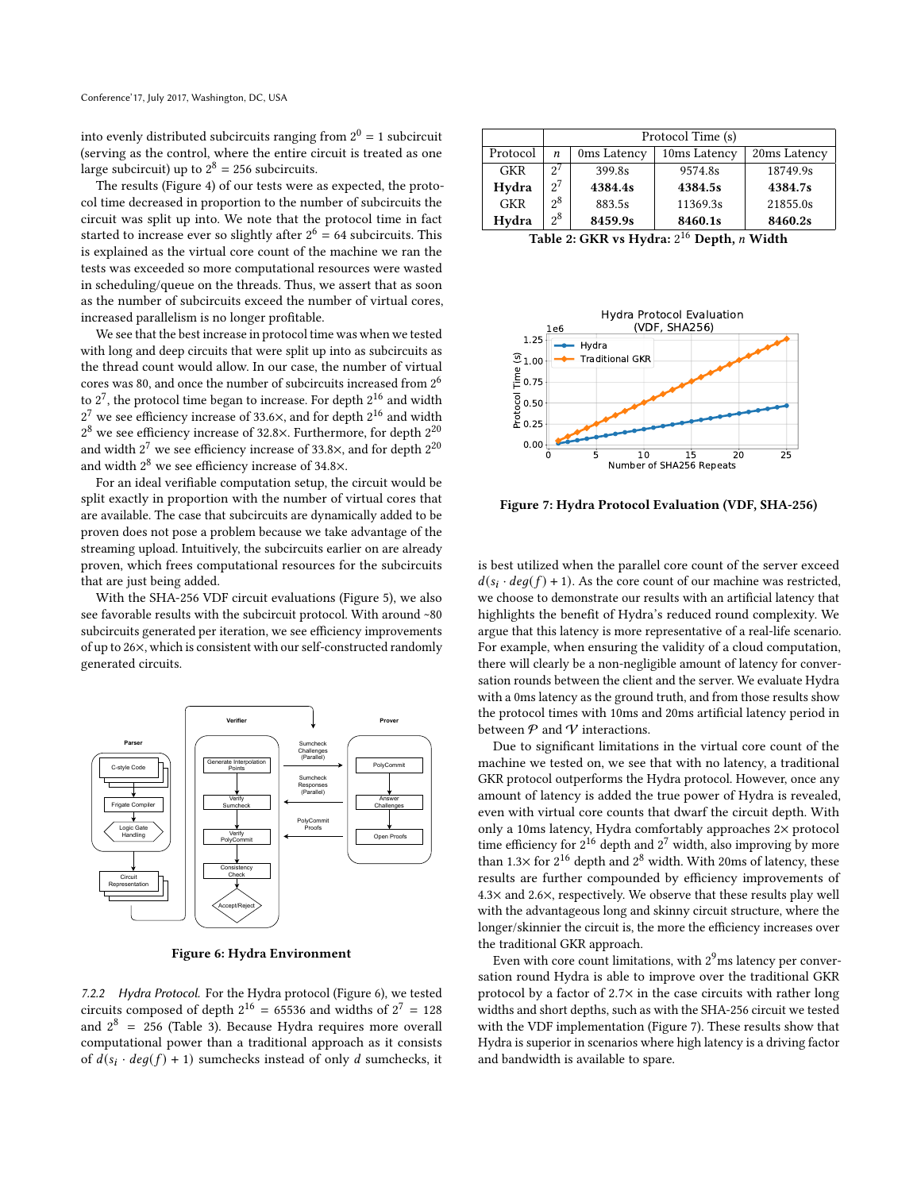into evenly distributed subcircuits ranging from  $2^0 = 1$  subcircuit (serving as the control, where the entire circuit is treated as one large subcircuit) up to  $2^8 = 256$  subcircuits.

The results (Figure [4\)](#page-8-2) of our tests were as expected, the protocol time decreased in proportion to the number of subcircuits the circuit was split up into. We note that the protocol time in fact started to increase ever so slightly after  $2^6 = 64$  subcircuits. This is explained as the virtual core count of the machine we ran the tests was exceeded so more computational resources were wasted in scheduling/queue on the threads. Thus, we assert that as soon as the number of subcircuits exceed the number of virtual cores, increased parallelism is no longer profitable.

We see that the best increase in protocol time was when we tested with long and deep circuits that were split up into as subcircuits as the thread count would allow. In our case, the number of virtual cores was 80, and once the number of subcircuits increased from  $2^6$ to  $2^7$ , the protocol time began to increase. For depth  $2^{16}$  and width  $2^7$  we see efficiency increase of 33.6 $\times$ , and for depth  $2^{16}$  and width  $2^8$  we see efficiency increase of 32.8×. Furthermore, for depth  $2^{20}$ and width  $2^7$  we see efficiency increase of 33.8 $\times$ , and for depth  $2^{20}$ and width  $2^8$  we see efficiency increase of 34.8 $\times$ .

For an ideal verifiable computation setup, the circuit would be split exactly in proportion with the number of virtual cores that are available. The case that subcircuits are dynamically added to be proven does not pose a problem because we take advantage of the streaming upload. Intuitively, the subcircuits earlier on are already proven, which frees computational resources for the subcircuits that are just being added.

With the SHA-256 VDF circuit evaluations (Figure [5\)](#page-8-3), we also see favorable results with the subcircuit protocol. With around [~8](~)0 subcircuits generated per iteration, we see efficiency improvements of up to 26×, which is consistent with our self-constructed randomly generated circuits.

<span id="page-9-0"></span>

Figure 6: Hydra Environment

7.2.2 Hydra Protocol. For the Hydra protocol (Figure [6\)](#page-9-0), we tested circuits composed of depth  $2^{16} = 65536$  and widths of  $2^7 = 128$ and  $2^8$  = 256 (Table [3\)](#page-11-0). Because Hydra requires more overall computational power than a traditional approach as it consists of  $d(s_i \cdot deg(f) + 1)$  sumchecks instead of only d sumchecks, it

|            | Protocol Time (s) |             |              |              |
|------------|-------------------|-------------|--------------|--------------|
| Protocol   | n                 | 0ms Latency | 10ms Latency | 20ms Latency |
| <b>GKR</b> | 2'                | 399.8s      | 9574.8s      | 18749.9s     |
| Hydra      | $2^7$             | 4384.4s     | 4384.5s      | 4384.7s      |
| <b>GKR</b> | $2^8$             | 883.5s      | 11369.3s     | 21855.0s     |
| Hydra      | $2^8$             | 8459.9s     | 8460.1s      | 8460.2s      |

Table 2: GKR vs Hydra:  $2^{16}$  Depth,  $n$  Width

<span id="page-9-1"></span>

Figure 7: Hydra Protocol Evaluation (VDF, SHA-256)

is best utilized when the parallel core count of the server exceed  $d(s_i \cdot deg(f) + 1)$ . As the core count of our machine was restricted, we choose to demonstrate our results with an artificial latency that highlights the benefit of Hydra's reduced round complexity. We argue that this latency is more representative of a real-life scenario. For example, when ensuring the validity of a cloud computation, there will clearly be a non-negligible amount of latency for conversation rounds between the client and the server. We evaluate Hydra with a 0ms latency as the ground truth, and from those results show the protocol times with 10ms and 20ms artificial latency period in between  $P$  and  $V$  interactions.

Due to significant limitations in the virtual core count of the machine we tested on, we see that with no latency, a traditional GKR protocol outperforms the Hydra protocol. However, once any amount of latency is added the true power of Hydra is revealed, even with virtual core counts that dwarf the circuit depth. With only a 10ms latency, Hydra comfortably approaches 2× protocol time efficiency for  $2^{16}$  depth and  $2^7$  width, also improving by more than 1.3 $\times$  for  $2^{16}$  depth and  $2^8$  width. With 20ms of latency, these results are further compounded by efficiency improvements of 4.3× and 2.6×, respectively. We observe that these results play well with the advantageous long and skinny circuit structure, where the longer/skinnier the circuit is, the more the efficiency increases over the traditional GKR approach.

Even with core count limitations, with  $2<sup>9</sup>$ ms latency per conversation round Hydra is able to improve over the traditional GKR protocol by a factor of 2.7× in the case circuits with rather long widths and short depths, such as with the SHA-256 circuit we tested with the VDF implementation (Figure [7\)](#page-9-1). These results show that Hydra is superior in scenarios where high latency is a driving factor and bandwidth is available to spare.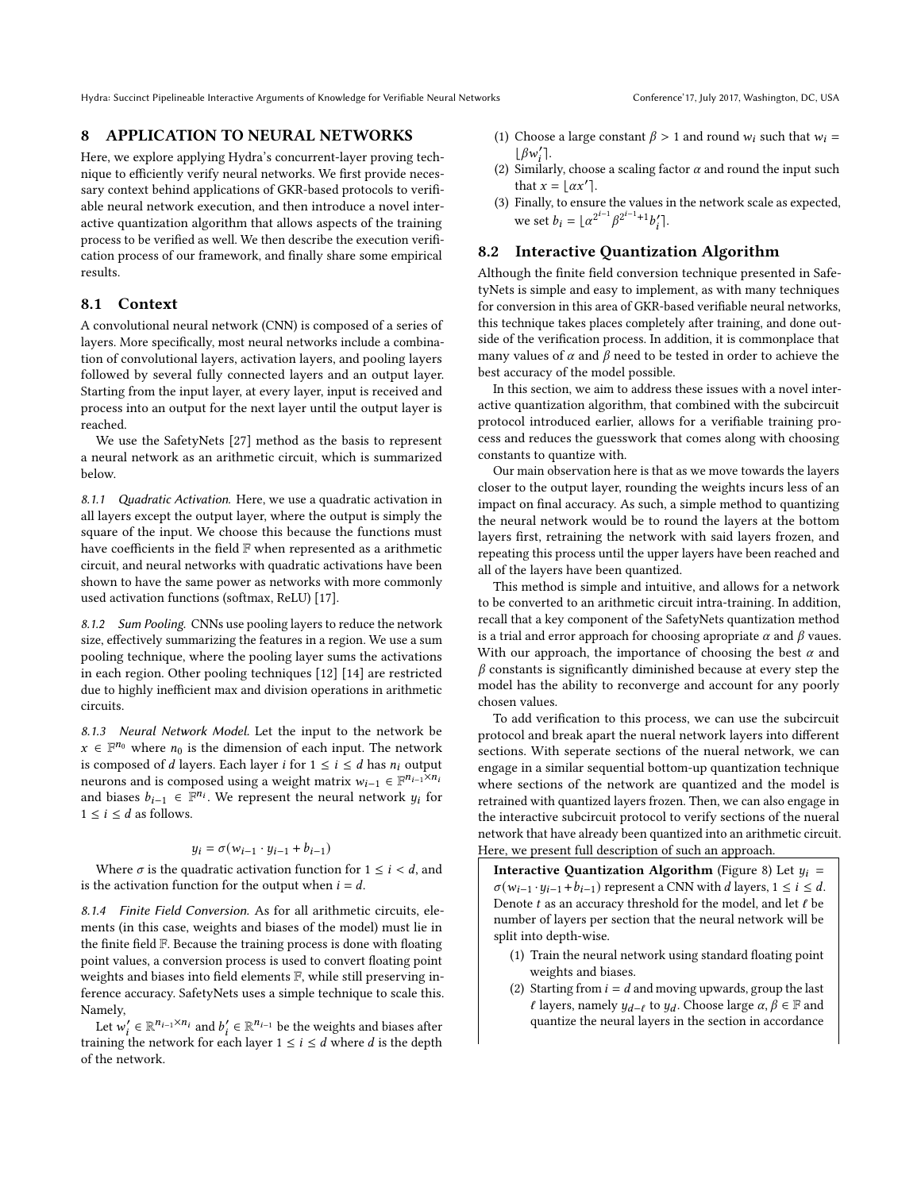## 8 APPLICATION TO NEURAL NETWORKS

Here, we explore applying Hydra's concurrent-layer proving technique to efficiently verify neural networks. We first provide necessary context behind applications of GKR-based protocols to verifiable neural network execution, and then introduce a novel interactive quantization algorithm that allows aspects of the training process to be verified as well. We then describe the execution verification process of our framework, and finally share some empirical results.

#### 8.1 Context

A convolutional neural network (CNN) is composed of a series of layers. More specifically, most neural networks include a combination of convolutional layers, activation layers, and pooling layers followed by several fully connected layers and an output layer. Starting from the input layer, at every layer, input is received and process into an output for the next layer until the output layer is reached.

We use the SafetyNets [\[27\]](#page-12-20) method as the basis to represent a neural network as an arithmetic circuit, which is summarized below.

8.1.1 Quadratic Activation. Here, we use a quadratic activation in all layers except the output layer, where the output is simply the square of the input. We choose this because the functions must have coefficients in the field F when represented as a arithmetic circuit, and neural networks with quadratic activations have been shown to have the same power as networks with more commonly used activation functions (softmax, ReLU) [\[17\]](#page-12-35).

8.1.2 Sum Pooling. CNNs use pooling layers to reduce the network size, effectively summarizing the features in a region. We use a sum pooling technique, where the pooling layer sums the activations in each region. Other pooling techniques [\[12\]](#page-12-36) [\[14\]](#page-12-37) are restricted due to highly inefficient max and division operations in arithmetic circuits.

8.1.3 Neural Network Model. Let the input to the network be  $x \in \mathbb{F}^{n_0}$  where  $n_0$  is the dimension of each input. The network is composed of  $d$  layers. Each layer  $i$  for  $1 \leq i \leq d$  has  $n_i$  output neurons and is composed using a weight matrix  $w_{i-1} \in \mathbb{F}^{n_{i-1} \times n_i}$ and biases  $b_{i-1} \in \mathbb{F}^{n_i}$ . We represent the neural network  $y_i$  for  $1 \leq i \leq d$  as follows.

#### $y_i = \sigma(w_{i-1} \cdot y_{i-1} + b_{i-1})$

Where  $\sigma$  is the quadratic activation function for  $1 \le i \le d$ , and is the activation function for the output when  $i = d$ .

8.1.4 Finite Field Conversion. As for all arithmetic circuits, elements (in this case, weights and biases of the model) must lie in the finite field F. Because the training process is done with floating point values, a conversion process is used to convert floating point weights and biases into field elements F, while still preserving inference accuracy. SafetyNets uses a simple technique to scale this. Namely,

Let  $w'_i \in \mathbb{R}^{n_{i-1} \times n_i}$  and  $b'_i \in \mathbb{R}^{n_{i-1}}$  be the weights and biases after training the network for each layer  $1 \le i \le d$  where d is the depth of the network.

- (1) Choose a large constant  $\beta > 1$  and round  $w_i$  such that  $w_i =$  $\lfloor \beta w'_i \rfloor$ .
- (2) Similarly, choose a scaling factor  $\alpha$  and round the input such that  $x = \lfloor \alpha x' \rfloor$ .
- (3) Finally, to ensure the values in the network scale as expected, we set  $b_i = \lfloor \alpha^{2^{i-1}} \beta^{2^{i-1}+1} b'_i \rfloor$ .

## 8.2 Interactive Quantization Algorithm

Although the finite field conversion technique presented in SafetyNets is simple and easy to implement, as with many techniques for conversion in this area of GKR-based verifiable neural networks, this technique takes places completely after training, and done outside of the verification process. In addition, it is commonplace that many values of  $\alpha$  and  $\beta$  need to be tested in order to achieve the best accuracy of the model possible.

In this section, we aim to address these issues with a novel interactive quantization algorithm, that combined with the subcircuit protocol introduced earlier, allows for a verifiable training process and reduces the guesswork that comes along with choosing constants to quantize with.

Our main observation here is that as we move towards the layers closer to the output layer, rounding the weights incurs less of an impact on final accuracy. As such, a simple method to quantizing the neural network would be to round the layers at the bottom layers first, retraining the network with said layers frozen, and repeating this process until the upper layers have been reached and all of the layers have been quantized.

This method is simple and intuitive, and allows for a network to be converted to an arithmetic circuit intra-training. In addition, recall that a key component of the SafetyNets quantization method is a trial and error approach for choosing apropriate  $\alpha$  and  $\beta$  vaues. With our approach, the importance of choosing the best  $\alpha$  and  $\beta$  constants is significantly diminished because at every step the model has the ability to reconverge and account for any poorly chosen values.

To add verification to this process, we can use the subcircuit protocol and break apart the nueral network layers into different sections. With seperate sections of the nueral network, we can engage in a similar sequential bottom-up quantization technique where sections of the network are quantized and the model is retrained with quantized layers frozen. Then, we can also engage in the interactive subcircuit protocol to verify sections of the nueral network that have already been quantized into an arithmetic circuit. Here, we present full description of such an approach.

Interactive Quantization Algorithm (Figure [8\)](#page-11-1) Let  $y_i =$  $\sigma(w_{i-1} \cdot y_{i-1} + b_{i-1})$  represent a CNN with *d* layers,  $1 \le i \le d$ . Denote  $t$  as an accuracy threshold for the model, and let  $\ell$  be number of layers per section that the neural network will be split into depth-wise.

- (1) Train the neural network using standard floating point weights and biases.
- (2) Starting from  $i = d$  and moving upwards, group the last  $\ell$  layers, namely  $y_{d-\ell}$  to  $y_d$ . Choose large  $\alpha, \beta \in \mathbb{F}$  and quantize the neural layers in the section in accordance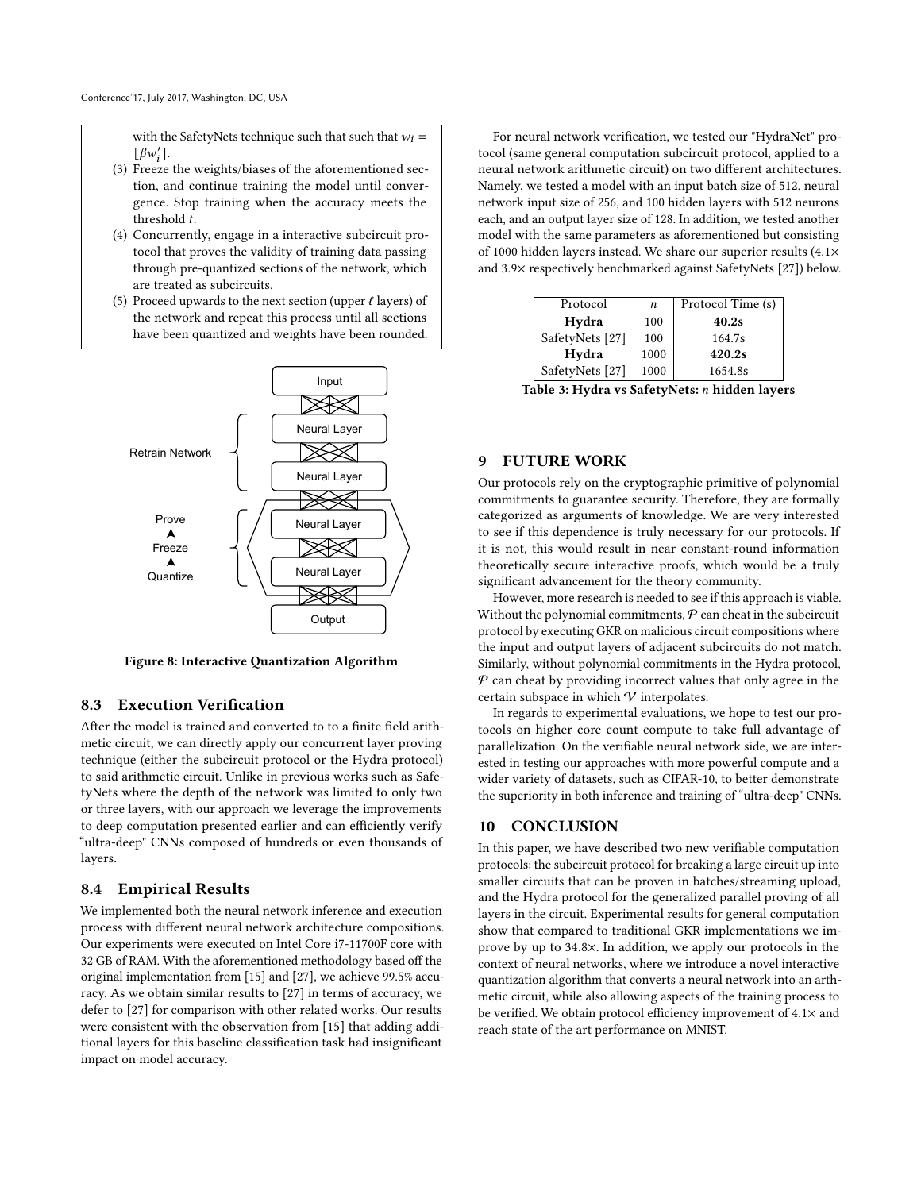with the SafetyNets technique such that such that  $w_i =$  $\lfloor \beta w'_i \rceil$ .

- (3) Freeze the weights/biases of the aforementioned section, and continue training the model until convergence. Stop training when the accuracy meets the threshold  $t$ .
- (4) Concurrently, engage in a interactive subcircuit protocol that proves the validity of training data passing through pre-quantized sections of the network, which are treated as subcircuits.
- (5) Proceed upwards to the next section (upper  $\ell$  layers) of the network and repeat this process until all sections have been quantized and weights have been rounded.

<span id="page-11-1"></span>

Figure 8: Interactive Quantization Algorithm

#### 8.3 Execution Verification

After the model is trained and converted to to a finite field arithmetic circuit, we can directly apply our concurrent layer proving technique (either the subcircuit protocol or the Hydra protocol) to said arithmetic circuit. Unlike in previous works such as SafetyNets where the depth of the network was limited to only two or three layers, with our approach we leverage the improvements to deep computation presented earlier and can efficiently verify "ultra-deep" CNNs composed of hundreds or even thousands of layers.

## 8.4 Empirical Results

We implemented both the neural network inference and execution process with different neural network architecture compositions. Our experiments were executed on Intel Core i7-11700F core with 32 GB of RAM. With the aforementioned methodology based off the original implementation from [\[15\]](#page-12-38) and [\[27\]](#page-12-20), we achieve 99.5% accuracy. As we obtain similar results to [\[27\]](#page-12-20) in terms of accuracy, we defer to [\[27\]](#page-12-20) for comparison with other related works. Our results were consistent with the observation from [\[15\]](#page-12-38) that adding additional layers for this baseline classification task had insignificant impact on model accuracy.

For neural network verification, we tested our "HydraNet" protocol (same general computation subcircuit protocol, applied to a neural network arithmetic circuit) on two different architectures. Namely, we tested a model with an input batch size of 512, neural network input size of 256, and 100 hidden layers with 512 neurons each, and an output layer size of 128. In addition, we tested another model with the same parameters as aforementioned but consisting of 1000 hidden layers instead. We share our superior results (4.1× and 3.9× respectively benchmarked against SafetyNets [\[27\]](#page-12-20)) below.

<span id="page-11-0"></span>

| Protocol                   | n    | Protocol Time (s) |
|----------------------------|------|-------------------|
| Hydra                      | 100  | 40.2s             |
| SafetyNets <sup>[27]</sup> | 100  | 164.7s            |
| Hydra                      | 1000 | 420.2s            |
| SafetyNets <sup>[27]</sup> | 1000 | 1654.8s           |

Table 3: Hydra vs SafetyNets: hidden layers

## 9 FUTURE WORK

Our protocols rely on the cryptographic primitive of polynomial commitments to guarantee security. Therefore, they are formally categorized as arguments of knowledge. We are very interested to see if this dependence is truly necessary for our protocols. If it is not, this would result in near constant-round information theoretically secure interactive proofs, which would be a truly significant advancement for the theory community.

However, more research is needed to see if this approach is viable. Without the polynomial commitments,  $P$  can cheat in the subcircuit protocol by executing GKR on malicious circuit compositions where the input and output layers of adjacent subcircuits do not match. Similarly, without polynomial commitments in the Hydra protocol,  $P$  can cheat by providing incorrect values that only agree in the certain subspace in which  $\mathcal V$  interpolates.

In regards to experimental evaluations, we hope to test our protocols on higher core count compute to take full advantage of parallelization. On the verifiable neural network side, we are interested in testing our approaches with more powerful compute and a wider variety of datasets, such as CIFAR-10, to better demonstrate the superiority in both inference and training of "ultra-deep" CNNs.

## 10 CONCLUSION

In this paper, we have described two new verifiable computation protocols: the subcircuit protocol for breaking a large circuit up into smaller circuits that can be proven in batches/streaming upload, and the Hydra protocol for the generalized parallel proving of all layers in the circuit. Experimental results for general computation show that compared to traditional GKR implementations we improve by up to 34.8×. In addition, we apply our protocols in the context of neural networks, where we introduce a novel interactive quantization algorithm that converts a neural network into an arthmetic circuit, while also allowing aspects of the training process to be verified. We obtain protocol efficiency improvement of 4.1× and reach state of the art performance on MNIST.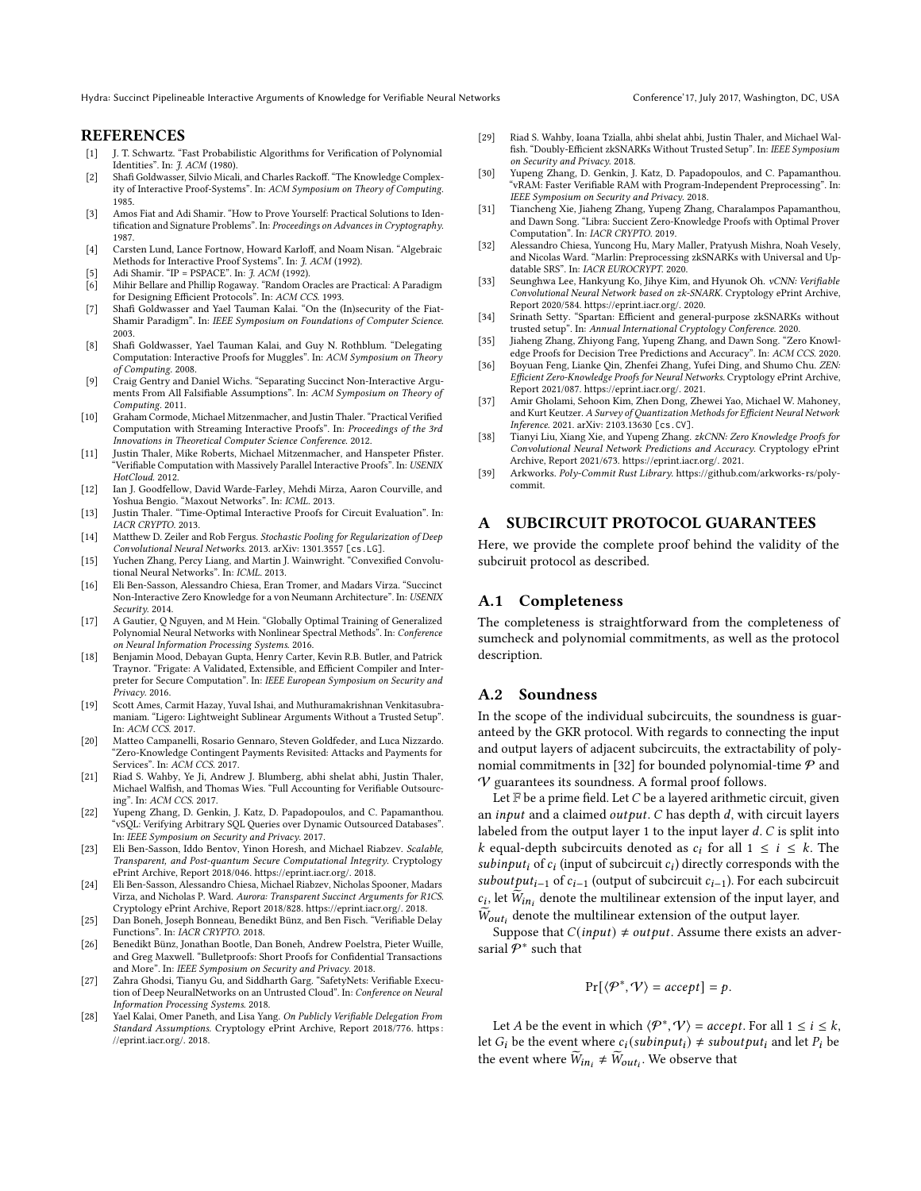## REFERENCES

- <span id="page-12-30"></span>[1] J. T. Schwartz. "Fast Probabilistic Algorithms for Verification of Polynomial Identities". In: J. ACM (1980).
- <span id="page-12-0"></span>[2] Shafi Goldwasser, Silvio Micali, and Charles Rackoff. "The Knowledge Complexity of Interactive Proof-Systems". In: ACM Symposium on Theory of Computing. 1985.
- <span id="page-12-10"></span>[3] Amos Fiat and Adi Shamir. "How to Prove Yourself: Practical Solutions to Identification and Signature Problems". In: Proceedings on Advances in Cryptography. 1987.
- <span id="page-12-28"></span>[4] Carsten Lund, Lance Fortnow, Howard Karloff, and Noam Nisan. "Algebraic Methods for Interactive Proof Systems". In: *J. ACM* (1992).
- <span id="page-12-1"></span>Adi Shamir. "IP = PSPACE". In: *J. ACM* (1992).
- <span id="page-12-11"></span>[6] Mihir Bellare and Phillip Rogaway. "Random Oracles are Practical: A Paradigm for Designing Efficient Protocols". In: ACM CCS. 1993.
- <span id="page-12-12"></span>[7] Shafi Goldwasser and Yael Tauman Kalai. "On the (In)security of the Fiat-Shamir Paradigm". In: IEEE Symposium on Foundations of Computer Science. 2003.
- <span id="page-12-2"></span>[8] Shafi Goldwasser, Yael Tauman Kalai, and Guy N. Rothblum. "Delegating Computation: Interactive Proofs for Muggles". In: ACM Symposium on Theory of Computing. 2008.
- <span id="page-12-18"></span>[9] Craig Gentry and Daniel Wichs. "Separating Succinct Non-Interactive Arguments From All Falsifiable Assumptions". In: ACM Symposium on Theory of Computing. 2011.
- <span id="page-12-4"></span>[10] Graham Cormode, Michael Mitzenmacher, and Justin Thaler. "Practical Verified Computation with Streaming Interactive Proofs". In: Proceedings of the 3rd Innovations in Theoretical Computer Science Conference. 2012.
- <span id="page-12-7"></span>[11] Justin Thaler, Mike Roberts, Michael Mitzenmacher, and Hanspeter Pfister. "Verifiable Computation with Massively Parallel Interactive Proofs". In: USENIX HotCloud. 2012.
- <span id="page-12-36"></span>[12] Ian J. Goodfellow, David Warde-Farley, Mehdi Mirza, Aaron Courville, and Yoshua Bengio. "Maxout Networks". In: ICML. 2013.
- <span id="page-12-5"></span>[13] Justin Thaler. "Time-Optimal Interactive Proofs for Circuit Evaluation". In: IACR CRYPTO. 2013.
- <span id="page-12-37"></span>[14] Matthew D. Zeiler and Rob Fergus. Stochastic Pooling for Regularization of Deep Convolutional Neural Networks. 2013. arXiv: [1301.3557](https://arxiv.org/abs/1301.3557) [cs.LG].
- <span id="page-12-38"></span>[15] Yuchen Zhang, Percy Liang, and Martin J. Wainwright. "Convexified Convolutional Neural Networks". In: ICML. 2013.
- <span id="page-12-13"></span>[16] Eli Ben-Sasson, Alessandro Chiesa, Eran Tromer, and Madars Virza. "Succinct Non-Interactive Zero Knowledge for a von Neumann Architecture". In: USENIX Security. 2014.
- <span id="page-12-35"></span>[17] A Gautier, Q Nguyen, and M Hein. "Globally Optimal Training of Generalized Polynomial Neural Networks with Nonlinear Spectral Methods". In: Conference on Neural Information Processing Systems. 2016.
- <span id="page-12-31"></span>[18] Benjamin Mood, Debayan Gupta, Henry Carter, Kevin R.B. Butler, and Patrick Traynor. "Frigate: A Validated, Extensible, and Efficient Compiler and Interpreter for Secure Computation". In: IEEE European Symposium on Security and Privacy. 2016.
- <span id="page-12-25"></span>[19] Scott Ames, Carmit Hazay, Yuval Ishai, and Muthuramakrishnan Venkitasubramaniam. "Ligero: Lightweight Sublinear Arguments Without a Trusted Setup". In: ACM CCS. 2017.
- <span id="page-12-34"></span>[20] Matteo Campanelli, Rosario Gennaro, Steven Goldfeder, and Luca Nizzardo. "Zero-Knowledge Contingent Payments Revisited: Attacks and Payments for Services". In: ACM CCS. 2017.
- <span id="page-12-8"></span>[21] Riad S. Wahby, Ye Ji, Andrew J. Blumberg, abhi shelat abhi, Justin Thaler, Michael Walfish, and Thomas Wies. "Full Accounting for Verifiable Outsourcing". In: ACM CCS. 2017.
- <span id="page-12-14"></span>[22] Yupeng Zhang, D. Genkin, J. Katz, D. Papadopoulos, and C. Papamanthou. "vSQL: Verifying Arbitrary SQL Queries over Dynamic Outsourced Databases". In: IEEE Symposium on Security and Privacy. 2017.
- <span id="page-12-26"></span>[23] Eli Ben-Sasson, Iddo Bentov, Yinon Horesh, and Michael Riabzev. Scalable, Transparent, and Post-quantum Secure Computational Integrity. Cryptology ePrint Archive, Report 2018/046. [https://eprint.iacr.org/.](https://eprint.iacr.org/) 2018.
- <span id="page-12-27"></span>[24] Eli Ben-Sasson, Alessandro Chiesa, Michael Riabzev, Nicholas Spooner, Madars Virza, and Nicholas P. Ward. Aurora: Transparent Succinct Arguments for R1CS. Cryptology ePrint Archive, Report 2018/828. [https://eprint.iacr.org/.](https://eprint.iacr.org/) 2018.
- <span id="page-12-33"></span>[25] Dan Boneh, Joseph Bonneau, Benedikt Bünz, and Ben Fisch. "Verifiable Delay Functions". In: IACR CRYPTO. 2018.
- <span id="page-12-15"></span>[26] Benedikt Bünz, Jonathan Bootle, Dan Boneh, Andrew Poelstra, Pieter Wuille, and Greg Maxwell. "Bulletproofs: Short Proofs for Confidential Transactions and More". In: IEEE Symposium on Security and Privacy. 2018.
- <span id="page-12-20"></span>[27] Zahra Ghodsi, Tianyu Gu, and Siddharth Garg. "SafetyNets: Verifiable Execution of Deep NeuralNetworks on an Untrusted Cloud". In: Conference on Neural Information Processing Systems. 2018.
- <span id="page-12-19"></span>[28] Yael Kalai, Omer Paneth, and Lisa Yang. On Publicly Verifiable Delegation From Standard Assumptions. Cryptology ePrint Archive, Report 2018/776. https: [//eprint.iacr.org/.](https://eprint.iacr.org/) 2018.
- <span id="page-12-16"></span>[29] Riad S. Wahby, Ioana Tzialla, ahbi shelat ahbi, Justin Thaler, and Michael Walfish. "Doubly-Efficient zkSNARKs Without Trusted Setup". In: IEEE Symposium on Security and Privacy. 2018.
- <span id="page-12-9"></span>[30] Yupeng Zhang, D. Genkin, J. Katz, D. Papadopoulos, and C. Papamanthou. "vRAM: Faster Verifiable RAM with Program-Independent Preprocessing". In: IEEE Symposium on Security and Privacy. 2018.
- <span id="page-12-6"></span>[31] Tiancheng Xie, Jiaheng Zhang, Yupeng Zhang, Charalampos Papamanthou, and Dawn Song. "Libra: Succient Zero-Knowledge Proofs with Optimal Prover Computation". In: IACR CRYPTO. 2019.
- <span id="page-12-29"></span>[32] Alessandro Chiesa, Yuncong Hu, Mary Maller, Pratyush Mishra, Noah Vesely, and Nicolas Ward. "Marlin: Preprocessing zkSNARKs with Universal and Updatable SRS". In: IACR EUROCRYPT. 2020.
- <span id="page-12-21"></span>[33] Seunghwa Lee, Hankyung Ko, Jihye Kim, and Hyunok Oh. vCNN: Verifiable Convolutional Neural Network based on zk-SNARK. Cryptology ePrint Archive, Report 2020/584. [https://eprint.iacr.org/.](https://eprint.iacr.org/) 2020.
- <span id="page-12-17"></span>[34] Srinath Setty. "Spartan: Efficient and general-purpose zkSNARKs without trusted setup". In: Annual International Cryptology Conference. 2020.
- <span id="page-12-22"></span>[35] Jiaheng Zhang, Zhiyong Fang, Yupeng Zhang, and Dawn Song. "Zero Knowledge Proofs for Decision Tree Predictions and Accuracy". In: ACM CCS. 2020.
- <span id="page-12-23"></span>[36] Boyuan Feng, Lianke Qin, Zhenfei Zhang, Yufei Ding, and Shumo Chu. ZEN: Efficient Zero-Knowledge Proofs for Neural Networks. Cryptology ePrint Archive, Report 2021/087. [https://eprint.iacr.org/.](https://eprint.iacr.org/) 2021.
- <span id="page-12-3"></span>[37] Amir Gholami, Sehoon Kim, Zhen Dong, Zhewei Yao, Michael W. Mahoney, and Kurt Keutzer. A Survey of Quantization Methods for Efficient Neural Network Inference. 2021. arXiv: [2103.13630](https://arxiv.org/abs/2103.13630) [cs.CV].
- <span id="page-12-24"></span>[38] Tianyi Liu, Xiang Xie, and Yupeng Zhang. zkCNN: Zero Knowledge Proofs for Convolutional Neural Network Predictions and Accuracy. Cryptology ePrint Archive, Report 2021/673. [https://eprint.iacr.org/.](https://eprint.iacr.org/) 2021.
- <span id="page-12-32"></span>[39] Arkworks. Poly-Commit Rust Library. [https://github.com/arkworks-rs/poly](https://github.com/arkworks-rs/poly-commit)[commit.](https://github.com/arkworks-rs/poly-commit)

#### A SUBCIRCUIT PROTOCOL GUARANTEES

Here, we provide the complete proof behind the validity of the subciruit protocol as described.

## A.1 Completeness

The completeness is straightforward from the completeness of sumcheck and polynomial commitments, as well as the protocol description.

#### A.2 Soundness

In the scope of the individual subcircuits, the soundness is guaranteed by the GKR protocol. With regards to connecting the input and output layers of adjacent subcircuits, the extractability of poly-nomial commitments in [\[32\]](#page-12-29) for bounded polynomial-time  $P$  and V guarantees its soundness. A formal proof follows.

Let  $F$  be a prime field. Let  $C$  be a layered arithmetic circuit, given an *input* and a claimed *output*.  $C$  has depth  $d$ , with circuit layers labeled from the output layer 1 to the input layer  $d$ .  $C$  is split into k equal-depth subcircuits denoted as  $c_i$  for all  $1 \le i \le k$ . The subinput<sub>i</sub> of  $c_i$  (input of subcircuit  $c_i$ ) directly corresponds with the subout put<sub>i-1</sub> of  $c_{i-1}$  (output of subcircuit  $c_{i-1}$ ). For each subcircuit  $c_i$ , let  $\widetilde{W}_{in_i}$  denote the multilinear extension of the input layer, and  $\widetilde{W}_{out_i}$  denote the multilinear extension of the output layer.

Suppose that  $C(input) \neq output$ . Assume there exists an adversarial  $\overline{P}^*$  such that

$$
Pr[\langle \mathcal{P}^*, \mathcal{V} \rangle = accept] = p.
$$

Let A be the event in which  $\langle \mathcal{P}^*, \mathcal{V} \rangle$  = accept. For all  $1 \le i \le k$ , let  $G_i$  be the event where  $c_i(subinput_i) \neq suboutput_i$  and let  $P_i$  be the event where  $\widetilde{W}_{in_i} \neq \widetilde{W}_{out_i}$ . We observe that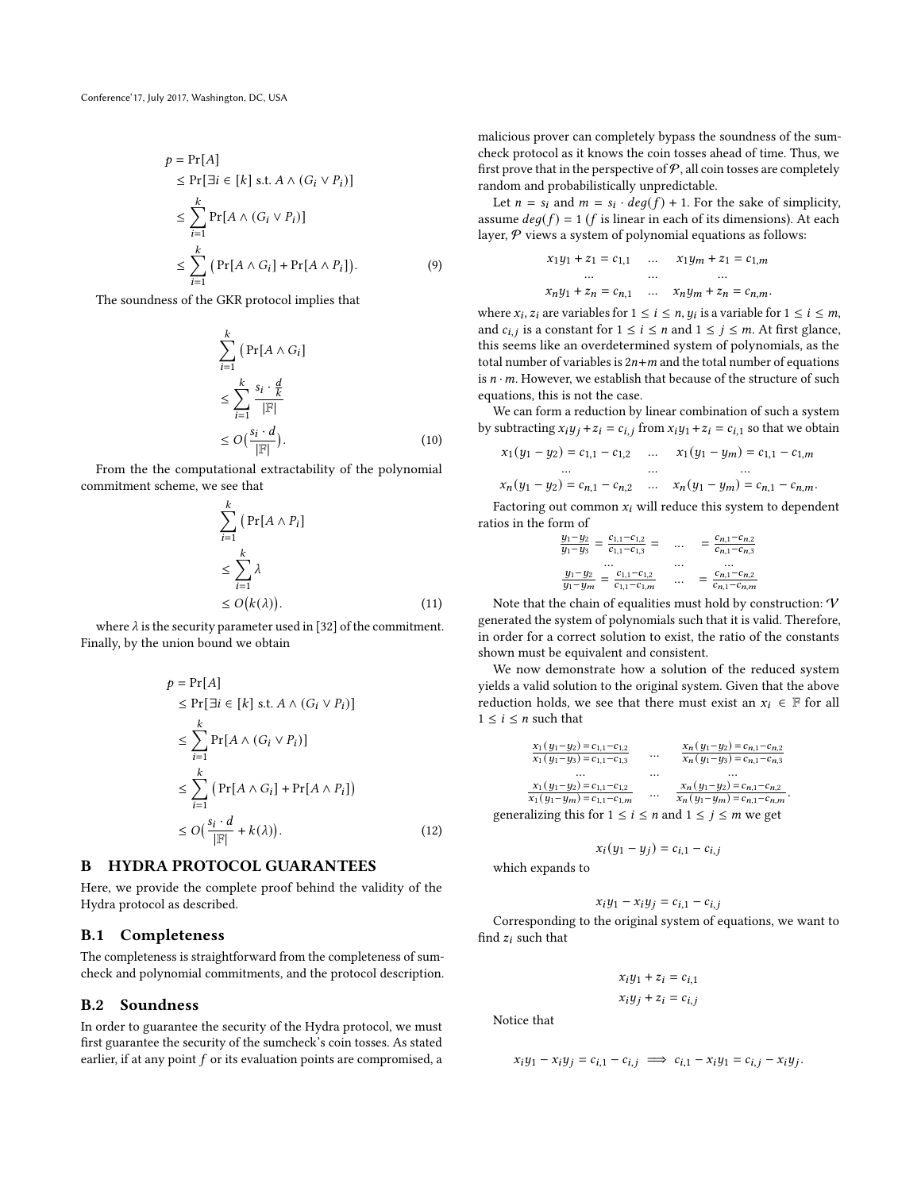$$
p = \Pr[A]
$$
  
\n
$$
\leq \Pr[\exists i \in [k] \text{ s.t. } A \land (G_i \lor P_i)]
$$
  
\n
$$
\leq \sum_{i=1}^{k} \Pr[A \land (G_i \lor P_i)]
$$
  
\n
$$
\leq \sum_{i=1}^{k} (\Pr[A \land G_i] + \Pr[A \land P_i]).
$$
\n(9)

The soundness of the GKR protocol implies that

$$
\sum_{i=1}^{k} \left( \Pr[A \wedge G_i] \right)
$$
\n
$$
\leq \sum_{i=1}^{k} \frac{s_i \cdot \frac{d}{k}}{|\mathbb{F}|}
$$
\n
$$
\leq O\left(\frac{s_i \cdot d}{|\mathbb{F}|}\right). \tag{10}
$$

From the the computational extractability of the polynomial commitment scheme, we see that

$$
\sum_{i=1}^{k} \left( \Pr[A \wedge P_i] \right)
$$
\n
$$
\leq \sum_{i=1}^{k} \lambda
$$
\n
$$
\leq O(k(\lambda)). \tag{11}
$$

where  $\lambda$  is the security parameter used in [\[32\]](#page-12-29) of the commitment. Finally, by the union bound we obtain

$$
p = \Pr[A]
$$
  
\n
$$
\leq \Pr[\exists i \in [k] \text{ s.t. } A \land (G_i \lor P_i)]
$$
  
\n
$$
\leq \sum_{i=1}^{k} \Pr[A \land (G_i \lor P_i)]
$$
  
\n
$$
\leq \sum_{i=1}^{k} (\Pr[A \land G_i] + \Pr[A \land P_i])
$$
  
\n
$$
\leq O(\frac{s_i \cdot d}{|\mathbb{F}|} + k(\lambda)).
$$
\n(12)

## B HYDRA PROTOCOL GUARANTEES

Here, we provide the complete proof behind the validity of the Hydra protocol as described.

#### B.1 Completeness

The completeness is straightforward from the completeness of sumcheck and polynomial commitments, and the protocol description.

# <span id="page-13-0"></span>B.2 Soundness

In order to guarantee the security of the Hydra protocol, we must first guarantee the security of the sumcheck's coin tosses. As stated earlier, if at any point  $f$  or its evaluation points are compromised, a malicious prover can completely bypass the soundness of the sumcheck protocol as it knows the coin tosses ahead of time. Thus, we first prove that in the perspective of  $P$ , all coin tosses are completely random and probabilistically unpredictable.

Let  $n = s_i$  and  $m = s_i \cdot deg(f) + 1$ . For the sake of simplicity, assume  $deg(f) = 1$  (*f* is linear in each of its dimensions). At each layer,  $P$  views a system of polynomial equations as follows:

$$
\begin{aligned} x_1 y_1 + z_1 &= c_{1,1} & \dots & x_1 y_m + z_1 &= c_{1,m} \\ \dots & \dots & \dots \\ x_n y_1 + z_n &= c_{n,1} & \dots & x_n y_m + z_n &= c_{n,m}. \end{aligned}
$$

where  $x_i$ ,  $z_i$  are variables for  $1 \le i \le n$ ,  $y_i$  is a variable for  $1 \le i \le m$ , and  $c_{i,j}$  is a constant for  $1 \le i \le n$  and  $1 \le j \le m$ . At first glance, this seems like an overdetermined system of polynomials, as the total number of variables is  $2n + m$  and the total number of equations is  $n \cdot m$ . However, we establish that because of the structure of such equations, this is not the case.

We can form a reduction by linear combination of such a system by subtracting  $x_i y_j + z_i = c_{i,j}$  from  $x_i y_1 + z_i = c_{i,1}$  so that we obtain

$$
x_1(y_1 - y_2) = c_{1,1} - c_{1,2} \dots x_1(y_1 - y_m) = c_{1,1} - c_{1,m}
$$
  
...  

$$
x_n(y_1 - y_2) = c_{n,1} - c_{n,2} \dots x_n(y_1 - y_m) = c_{n,1} - c_{n,m}.
$$

Factoring out common  $x_i$  will reduce this system to dependent ratios in the form of

$$
\begin{array}{ccc}\n\frac{y_1 - y_2}{y_1 - y_3} = \frac{c_{1,1} - c_{1,2}}{c_{1,1} - c_{1,3}} = & \dots & = \frac{c_{n,1} - c_{n,2}}{c_{n,1} - c_{n,3}} \\
\cdots & \cdots & \cdots & \cdots \\
\frac{y_1 - y_2}{y_1 - y_m} = \frac{c_{1,1} - c_{1,2}}{c_{1,1} - c_{1,m}} & \cdots & = \frac{c_{n,1} - c_{n,2}}{c_{n,1} - c_{n,m}}\n\end{array}
$$

Note that the chain of equalities must hold by construction:  $V$ generated the system of polynomials such that it is valid. Therefore, in order for a correct solution to exist, the ratio of the constants shown must be equivalent and consistent.

We now demonstrate how a solution of the reduced system yields a valid solution to the original system. Given that the above reduction holds, we see that there must exist an  $x_i \in \mathbb{F}$  for all  $1 \leq i \leq n$  such that

$$
\frac{x_1(y_1-y_2) = c_{1,1} - c_{1,2}}{x_1(y_1-y_3) = c_{1,1} - c_{1,3}} \dots \frac{x_n(y_1-y_2) = c_{n,1} - c_{n,2}}{x_n(y_1-y_3) = c_{n,1} - c_{n,3}}
$$
\n...\n
$$
\frac{x_1(y_1-y_2) = c_{1,1} - c_{1,2}}{x_1(y_1-y_m) = c_{1,1} - c_{1,m}} \dots \frac{x_n(y_1-y_2) = c_{n,1} - c_{n,2}}{x_n(y_1-y_m) = c_{n,1} - c_{n,m}}
$$
\ngeneralizing this for  $1 \le i \le n$  and  $1 \le j \le m$  we get

$$
x_i(y_1-y_j)=c_{i,1}-c_{i,j}\hspace{0.05cm}
$$

which expands to

$$
x_iy_1 - x_iy_j = c_{i,1} - c_{i,j}
$$

Corresponding to the original system of equations, we want to find  $z_i$  such that

$$
x_i y_1 + z_i = c_{i,1}
$$

$$
x_i y_j + z_i = c_{i,j}
$$

Notice that

$$
x_i y_1 - x_i y_j = c_{i,1} - c_{i,j} \implies c_{i,1} - x_i y_1 = c_{i,j} - x_i y_j.
$$